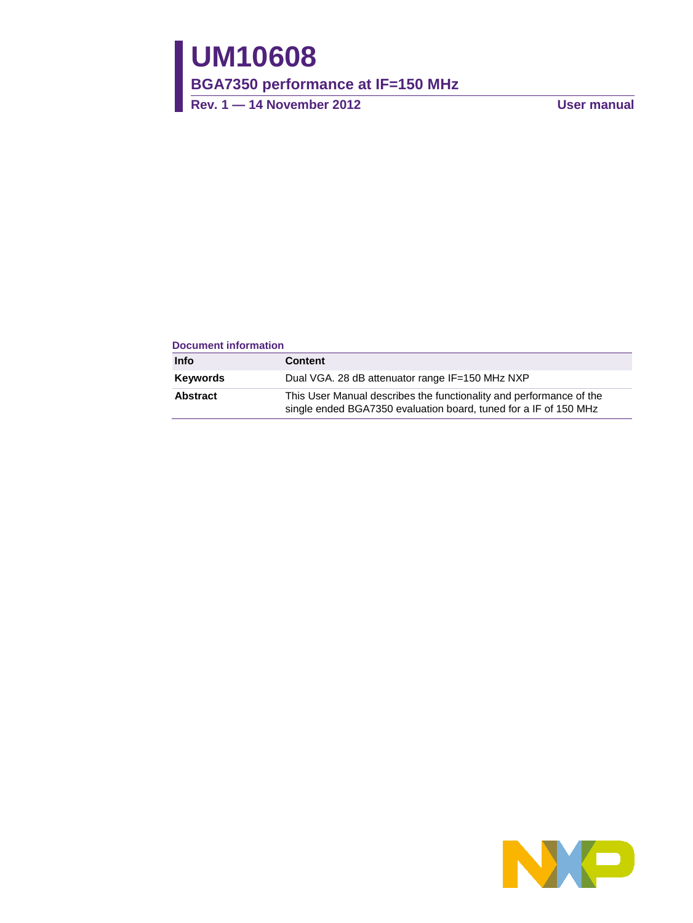# **UM10608**

**BGA7350 performance at IF=150 MHz**

**Rev. 1 — 14 November 2012 User manual**

#### **Document information**

| Info     | <b>Content</b>                                                                                                                          |
|----------|-----------------------------------------------------------------------------------------------------------------------------------------|
| Keywords | Dual VGA. 28 dB attenuator range IF=150 MHz NXP                                                                                         |
| Abstract | This User Manual describes the functionality and performance of the<br>single ended BGA7350 evaluation board, tuned for a IF of 150 MHz |

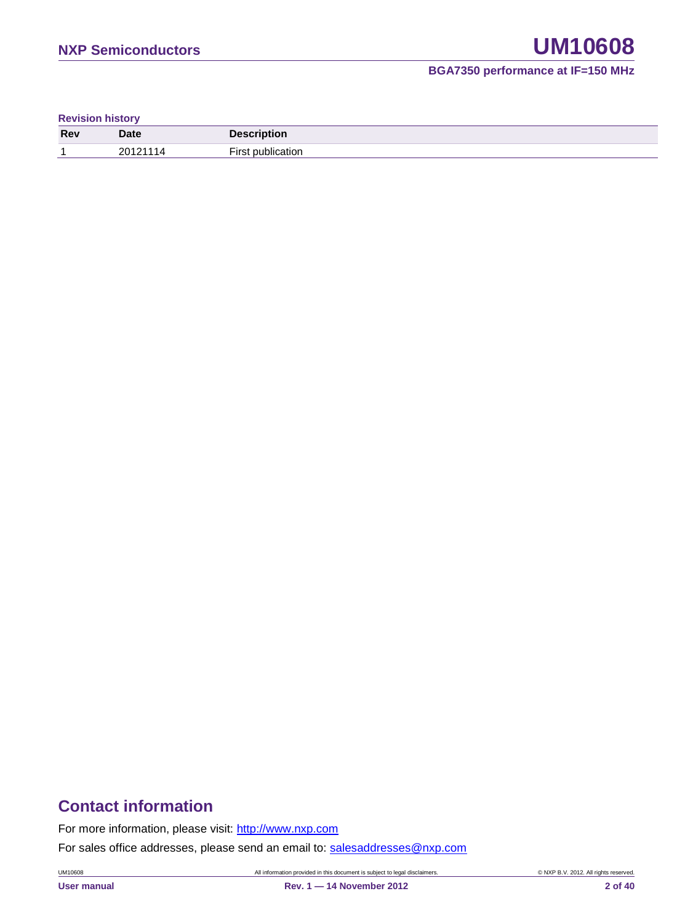**Revision history**

| Rev | <b>Date</b> | <b>Description</b> |
|-----|-------------|--------------------|
|     | 20121       | --<br>ıtı∩r        |

### **Contact information**

For more information, please visit: [http://www.nxp.com](http://www.nxp.com/)

For sales office addresses, please send an email to: [salesaddresses@nxp.com](mailto:salesaddresses@nxp.com)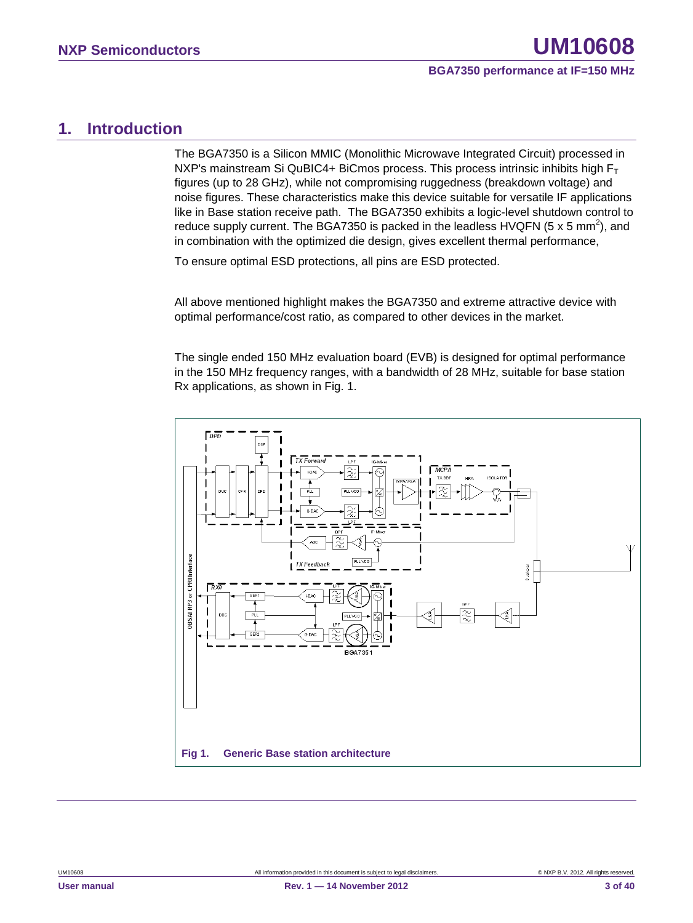#### <span id="page-2-0"></span>**1. Introduction**

The BGA7350 is a Silicon MMIC (Monolithic Microwave Integrated Circuit) processed in NXP's mainstream Si QuBIC4+ BiCmos process. This process intrinsic inhibits high  $F_T$ figures (up to 28 GHz), while not compromising ruggedness (breakdown voltage) and noise figures. These characteristics make this device suitable for versatile IF applications like in Base station receive path. The BGA7350 exhibits a logic-level shutdown control to reduce supply current. The BGA7350 is packed in the leadless HVQFN (5 x 5 mm<sup>2</sup>), and in combination with the optimized die design, gives excellent thermal performance,

To ensure optimal ESD protections, all pins are ESD protected.

All above mentioned highlight makes the BGA7350 and extreme attractive device with optimal performance/cost ratio, as compared to other devices in the market.

The single ended 150 MHz evaluation board (EVB) is designed for optimal performance in the 150 MHz frequency ranges, with a bandwidth of 28 MHz, suitable for base station Rx applications, as shown in Fig. 1.

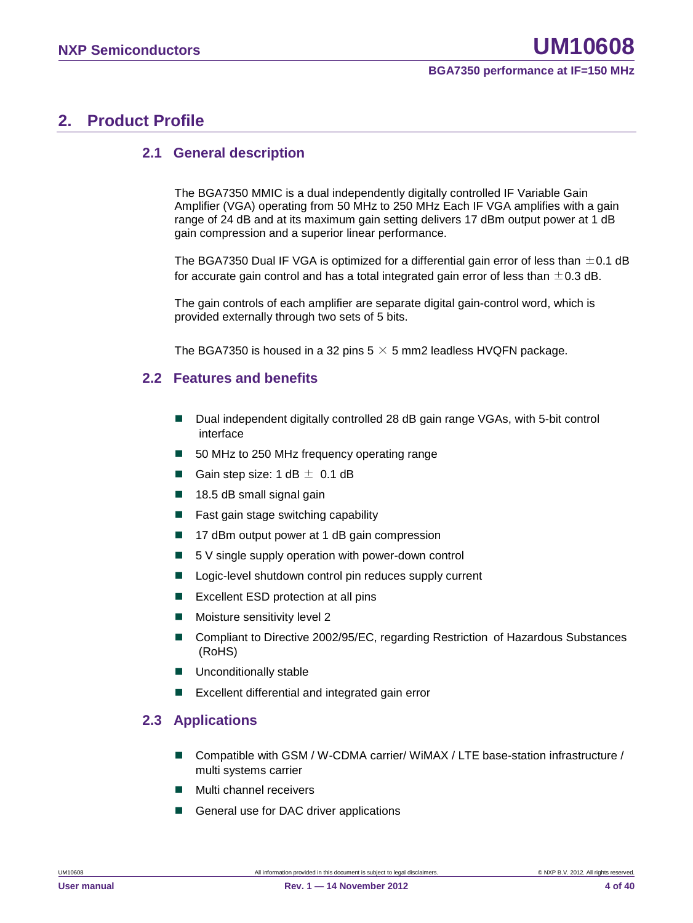### <span id="page-3-0"></span>**2. Product Profile**

#### <span id="page-3-1"></span>**2.1 General description**

The BGA7350 MMIC is a dual independently digitally controlled IF Variable Gain Amplifier (VGA) operating from 50 MHz to 250 MHz Each IF VGA amplifies with a gain range of 24 dB and at its maximum gain setting delivers 17 dBm output power at 1 dB gain compression and a superior linear performance.

The BGA7350 Dual IF VGA is optimized for a differential gain error of less than  $\pm$ 0.1 dB for accurate gain control and has a total integrated gain error of less than  $\pm$  0.3 dB.

The gain controls of each amplifier are separate digital gain-control word, which is provided externally through two sets of 5 bits.

<span id="page-3-2"></span>The BGA7350 is housed in a 32 pins  $5 \times 5$  mm2 leadless HVQFN package.

#### **2.2 Features and benefits**

- Dual independent digitally controlled 28 dB gain range VGAs, with 5-bit control interface
- 50 MHz to 250 MHz frequency operating range
- Gain step size:  $1 dB \pm 0.1 dB$
- $\blacksquare$  18.5 dB small signal gain
- Fast gain stage switching capability
- 17 dBm output power at 1 dB gain compression
- $\blacksquare$  5 V single supply operation with power-down control
- Logic-level shutdown control pin reduces supply current
- **EXCELLENT ESD protection at all pins**
- **Moisture sensitivity level 2**
- Compliant to Directive 2002/95/EC, regarding Restriction of Hazardous Substances (RoHS)
- **Unconditionally stable**
- <span id="page-3-3"></span>Excellent differential and integrated gain error

#### **2.3 Applications**

- Compatible with GSM / W-CDMA carrier/ WiMAX / LTE base-station infrastructure / multi systems carrier
- Multi channel receivers
- General use for DAC driver applications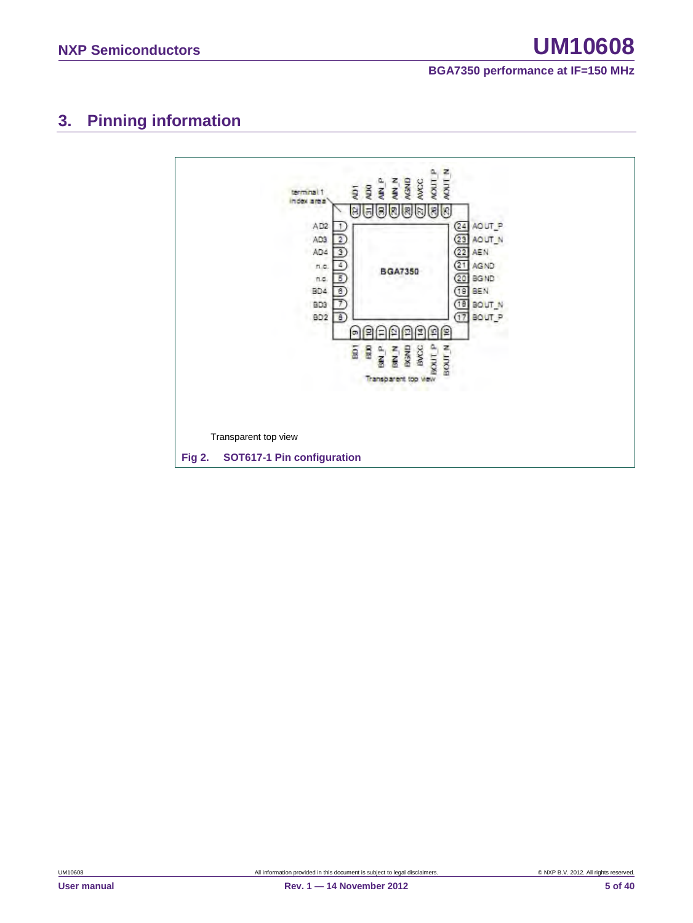### <span id="page-4-0"></span>**3. Pinning information**

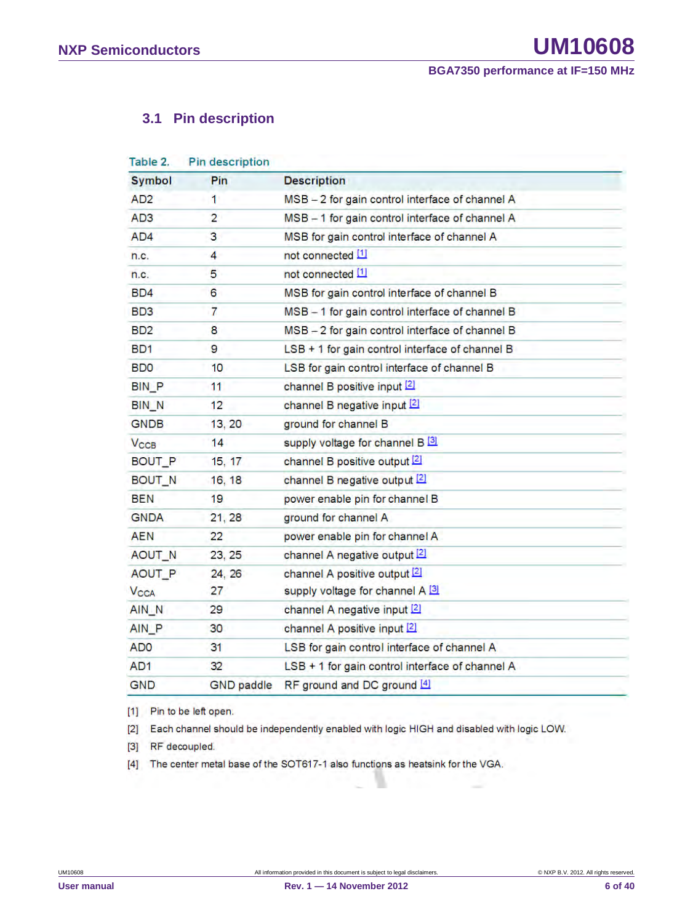#### <span id="page-5-0"></span>**3.1 Pin description**

| Table 2.                    | Pin description   |                                                 |
|-----------------------------|-------------------|-------------------------------------------------|
| <b>Symbol</b>               | Pin               | <b>Description</b>                              |
| AD <sub>2</sub>             | 1                 | MSB - 2 for gain control interface of channel A |
| AD <sub>3</sub>             | $\overline{2}$    | MSB - 1 for gain control interface of channel A |
| AD4                         | 3                 | MSB for gain control interface of channel A     |
| n.c.                        | 4                 | not connected [1]                               |
| n.c.                        | 5                 | not connected [1]                               |
| BD4                         | 6                 | MSB for gain control interface of channel B     |
| BD3                         | 7                 | MSB - 1 for gain control interface of channel B |
| B <sub>D</sub> <sub>2</sub> | 8                 | MSB - 2 for gain control interface of channel B |
| BD1                         | 9                 | LSB + 1 for gain control interface of channel B |
| <b>BDO</b>                  | 10                | LSB for gain control interface of channel B     |
| <b>BIN P</b>                | 11                | channel B positive input [2]                    |
| <b>BIN N</b>                | 12                | channel B negative input [2]                    |
| <b>GNDB</b>                 | 13, 20            | ground for channel B                            |
| $V_{\text{CCB}}$            | 14                | supply voltage for channel B 3                  |
| BOUT_P                      | 15, 17            | channel B positive output [2]                   |
| BOUT_N                      | 16, 18            | channel B negative output [2]                   |
| BEN                         | 19                | power enable pin for channel B                  |
| <b>GNDA</b>                 | 21, 28            | ground for channel A                            |
| <b>AEN</b>                  | 22                | power enable pin for channel A                  |
| AOUT N                      | 23, 25            | channel A negative output 2                     |
| AOUT_P                      | 24, 26            | channel A positive output [2]                   |
| <b>V<sub>CCA</sub></b>      | 27                | supply voltage for channel A [3]                |
| AIN_N                       | 29                | channel A negative input [2]                    |
| AIN P                       | 30                | channel A positive input [2]                    |
| AD <sub>0</sub>             | 31                | LSB for gain control interface of channel A     |
| AD <sub>1</sub>             | 32                | LSB + 1 for gain control interface of channel A |
| <b>GND</b>                  | <b>GND</b> paddle | RF ground and DC ground [4]                     |

[1] Pin to be left open.

[2] Each channel should be independently enabled with logic HIGH and disabled with logic LOW.

[3] RF decoupled.

[4] The center metal base of the SOT617-1 also functions as heatsink for the VGA.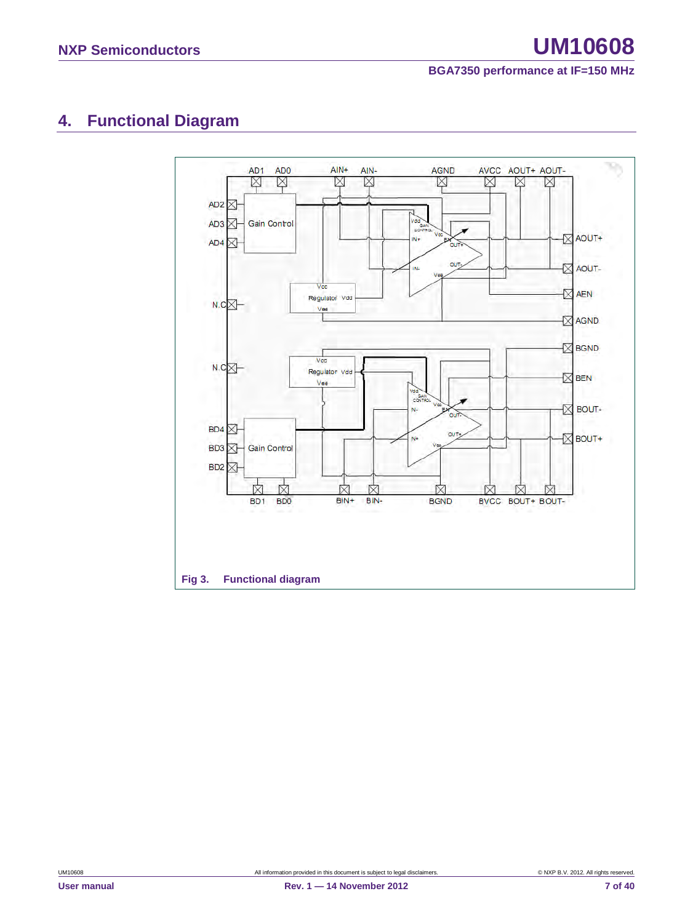### <span id="page-6-0"></span>**4. Functional Diagram**

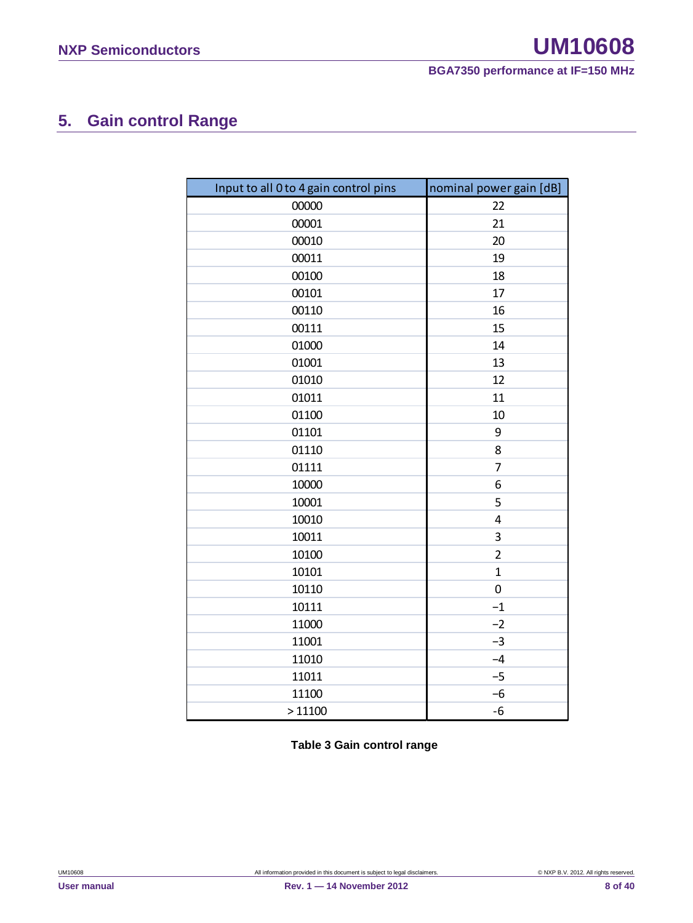### <span id="page-7-0"></span>**5. Gain control Range**

| Input to all 0 to 4 gain control pins | nominal power gain [dB] |
|---------------------------------------|-------------------------|
| 00000                                 | 22                      |
| 00001                                 | 21                      |
| 00010                                 | 20                      |
| 00011                                 | 19                      |
| 00100                                 | 18                      |
| 00101                                 | 17                      |
| 00110                                 | 16                      |
| 00111                                 | 15                      |
| 01000                                 | 14                      |
| 01001                                 | 13                      |
| 01010                                 | 12                      |
| 01011                                 | 11                      |
| 01100                                 | 10                      |
| 01101                                 | 9                       |
| 01110                                 | 8                       |
| 01111                                 | 7                       |
| 10000                                 | 6                       |
| 10001                                 | 5                       |
| 10010                                 | 4                       |
| 10011                                 | 3                       |
| 10100                                 | $\overline{2}$          |
| 10101                                 | $\mathbf{1}$            |
| 10110                                 | $\mathbf 0$             |
| 10111                                 | $-1$                    |
| 11000                                 | $-2$                    |
| 11001                                 | $-3$                    |
| 11010                                 | $-4$                    |
| 11011                                 | $-5$                    |
| 11100                                 | $-6$                    |
| >11100                                | $-6$                    |

**Table 3 Gain control range**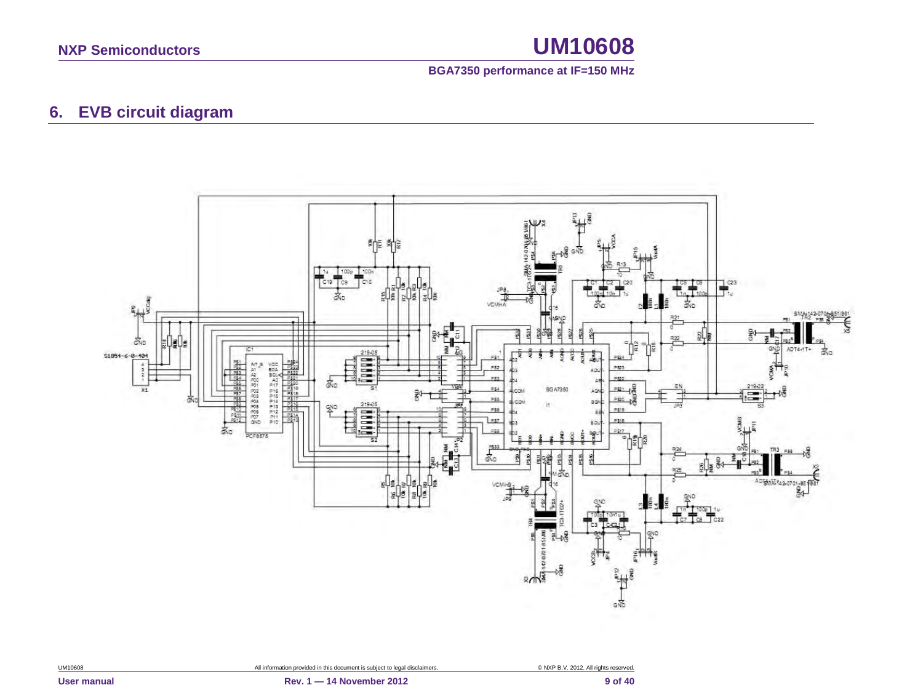#### **BGA7350 performance at IF=150 MHz**

### **6. EVB circuit diagram**

<span id="page-8-0"></span>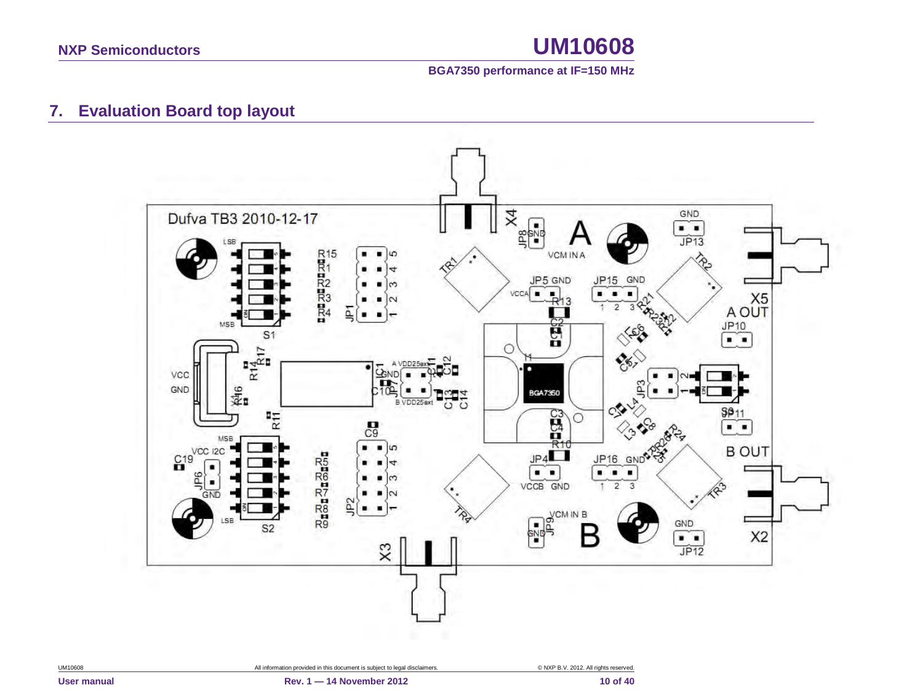

### **7. Evaluation Board top layout**

<span id="page-9-0"></span>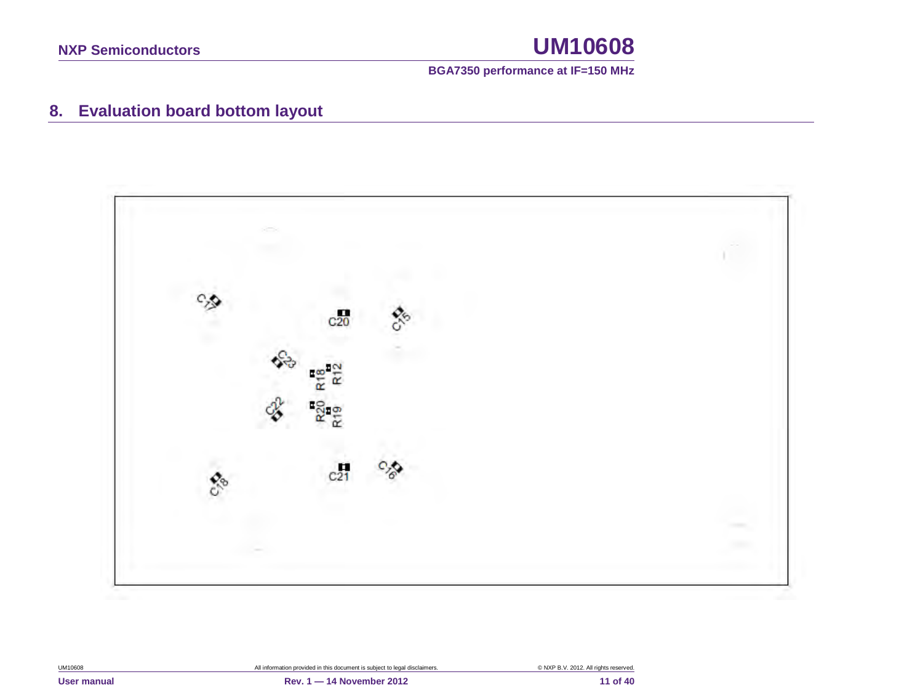

### **8. Evaluation board bottom layout**

<span id="page-10-0"></span>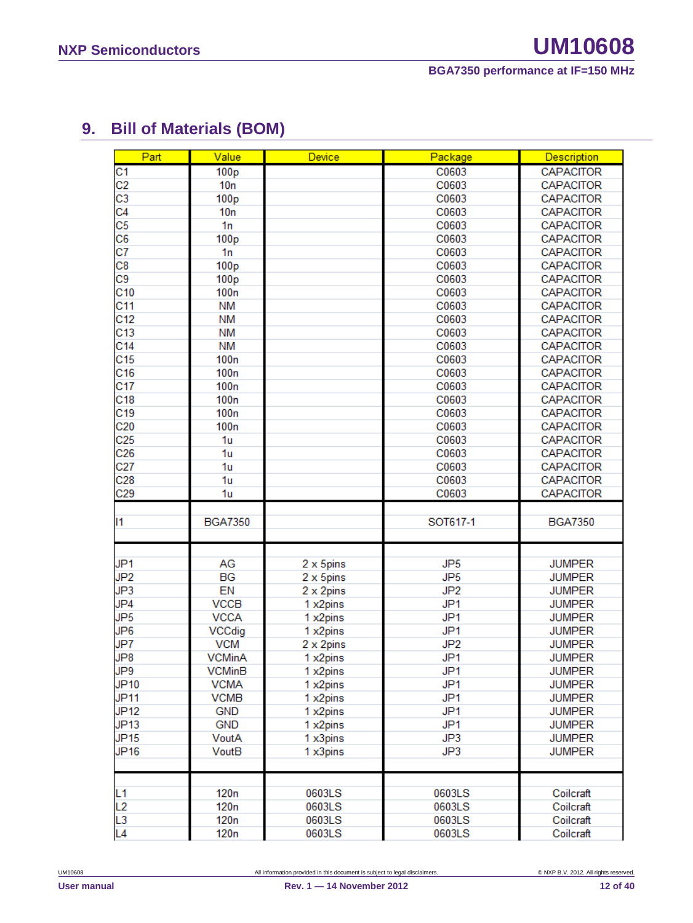### <span id="page-11-0"></span>**9. Bill of Materials (BOM)**

| Part                 | Value                    | Device           | Package          | <b>Description</b>     |
|----------------------|--------------------------|------------------|------------------|------------------------|
| $\overline{C}1$      | 100 <sub>p</sub>         |                  | C0603            | <b>CAPACITOR</b>       |
| C <sub>2</sub>       | 10n                      |                  | C0603            | <b>CAPACITOR</b>       |
| $\overline{c}3$      | 100 <sub>p</sub>         |                  | C0603            | <b>CAPACITOR</b>       |
| C4                   | 10n                      |                  | C0603            | <b>CAPACITOR</b>       |
| C <sub>5</sub>       | 1n                       |                  | C0603            | <b>CAPACITOR</b>       |
| C <sub>6</sub>       | 100 <sub>p</sub>         |                  | C0603            | <b>CAPACITOR</b>       |
| C7                   | 1n                       |                  | C0603            | <b>CAPACITOR</b>       |
| C8                   | 100 <sub>p</sub>         |                  | C0603            | <b>CAPACITOR</b>       |
| C9                   | 100 <sub>p</sub>         |                  | C0603            | <b>CAPACITOR</b>       |
| C10                  | 100n                     |                  | C0603            | <b>CAPACITOR</b>       |
| C <sub>11</sub>      | <b>NM</b>                |                  | C0603            | <b>CAPACITOR</b>       |
| C <sub>12</sub>      | <b>NM</b>                |                  | C0603            | <b>CAPACITOR</b>       |
| C <sub>13</sub>      | <b>NM</b>                |                  | C0603            | <b>CAPACITOR</b>       |
| C <sub>14</sub>      | <b>NM</b>                |                  | C0603            | <b>CAPACITOR</b>       |
| C <sub>15</sub>      | 100n                     |                  | C0603            | <b>CAPACITOR</b>       |
| C <sub>16</sub>      | 100 <sub>n</sub>         |                  | C0603            | <b>CAPACITOR</b>       |
| C <sub>17</sub>      | 100 <sub>n</sub>         |                  | C0603            | <b>CAPACITOR</b>       |
| C <sub>18</sub>      | 100n                     |                  | C0603            | <b>CAPACITOR</b>       |
| C <sub>19</sub>      | 100 <sub>n</sub>         |                  | C0603            | <b>CAPACITOR</b>       |
| C <sub>20</sub>      | 100 <sub>n</sub>         |                  | C0603            | <b>CAPACITOR</b>       |
| C <sub>25</sub>      | 1 <sub>u</sub>           |                  | C0603            | <b>CAPACITOR</b>       |
| C <sub>26</sub>      | 1u                       |                  | C0603            | <b>CAPACITOR</b>       |
| C <sub>27</sub>      | 1u                       |                  | C0603            | <b>CAPACITOR</b>       |
| C <sub>28</sub>      | 1u                       |                  | C0603            | <b>CAPACITOR</b>       |
| C <sub>29</sub>      | 1u                       |                  | C0603            | <b>CAPACITOR</b>       |
|                      |                          |                  |                  |                        |
| 11                   | <b>BGA7350</b>           |                  | SOT617-1         | <b>BGA7350</b>         |
|                      |                          |                  |                  |                        |
|                      |                          |                  |                  |                        |
| JP <sub>1</sub>      | AG                       | 2 x 5pins        | JP <sub>5</sub>  | <b>JUMPER</b>          |
| JP <sub>2</sub>      | <b>BG</b>                | 2 x 5pins        | JP <sub>5</sub>  | <b>JUMPER</b>          |
| JP3                  | EN                       | 2 x 2pins        | JP <sub>2</sub>  | <b>JUMPER</b>          |
| JP4                  | <b>VCCB</b>              | 1 x2pins         | JP <sub>1</sub>  | <b>JUMPER</b>          |
| JP <sub>5</sub>      | <b>VCCA</b>              | 1 x2pins         | JP <sub>1</sub>  | <b>JUMPER</b>          |
| JP <sub>6</sub>      | <b>VCCdig</b>            | 1 x2pins         | JP <sub>1</sub>  | <b>JUMPER</b>          |
| JP7                  | <b>VCM</b>               | 2 x 2pins        | JP <sub>2</sub>  | <b>JUMPER</b>          |
| JP8                  | <b>VCMinA</b>            | 1 x2pins         | JP <sub>1</sub>  | <b>JUMPER</b>          |
| JP9                  | VCMinB                   | 1 x2pins         | JP1              | <b>JUMPER</b>          |
| <b>JP10</b>          | <b>VCMA</b>              | 1 x2pins         | JP <sub>1</sub>  | <b>JUMPER</b>          |
| <b>JP11</b>          | <b>VCMB</b>              | 1 x2pins         | JP <sub>1</sub>  | <b>JUMPER</b>          |
| <b>JP12</b>          | <b>GND</b>               | 1 x2pins         | JP <sub>1</sub>  | <b>JUMPER</b>          |
| JP13                 | <b>GND</b>               | 1 x2pins         | JP <sub>1</sub>  | <b>JUMPER</b>          |
| <b>JP15</b>          | VoutA                    | 1 x3pins         | JP3              | <b>JUMPER</b>          |
| <b>JP16</b>          | VoutB                    | 1 x3pins         | JP3              | <b>JUMPER</b>          |
|                      |                          |                  |                  |                        |
|                      |                          |                  |                  |                        |
|                      |                          |                  |                  |                        |
| L <sub>1</sub>       | 120n                     | 0603LS           | 0603LS           | Coilcraft              |
| L2                   | 120 <sub>n</sub>         | 0603LS           | 0603LS           | Coilcraft              |
| L3<br>L <sub>4</sub> | 120 <sub>n</sub><br>120n | 0603LS<br>0603LS | 0603LS<br>0603LS | Coilcraft<br>Coilcraft |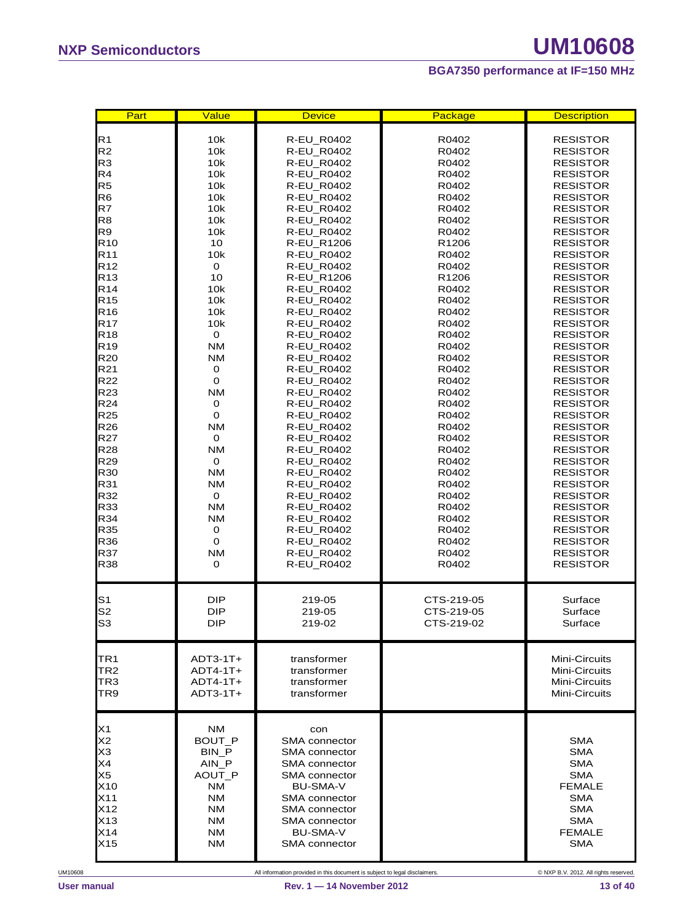| Part                                                                                         | Value                                                                                                           | <b>Device</b>                                                                                                                                                                                          | Package           | <b>Description</b>                                                                                                                             |
|----------------------------------------------------------------------------------------------|-----------------------------------------------------------------------------------------------------------------|--------------------------------------------------------------------------------------------------------------------------------------------------------------------------------------------------------|-------------------|------------------------------------------------------------------------------------------------------------------------------------------------|
| R <sub>1</sub>                                                                               | 10k                                                                                                             | R-EU_R0402                                                                                                                                                                                             | R0402             | <b>RESISTOR</b>                                                                                                                                |
| R <sub>2</sub>                                                                               | 10k                                                                                                             | <b>R-EU R0402</b>                                                                                                                                                                                      | R0402             | <b>RESISTOR</b>                                                                                                                                |
| R <sub>3</sub>                                                                               | 10k                                                                                                             | R-EU_R0402                                                                                                                                                                                             | R0402             | <b>RESISTOR</b>                                                                                                                                |
| R4                                                                                           | 10k                                                                                                             | R-EU_R0402                                                                                                                                                                                             | R0402             | RESISTOR                                                                                                                                       |
| R <sub>5</sub>                                                                               | 10k                                                                                                             | <b>R-EU R0402</b>                                                                                                                                                                                      | R0402             | RESISTOR                                                                                                                                       |
| R <sub>6</sub>                                                                               | 10k                                                                                                             | R-EU_R0402                                                                                                                                                                                             | R0402             | <b>RESISTOR</b>                                                                                                                                |
| R7                                                                                           | 10k                                                                                                             | R-EU_R0402                                                                                                                                                                                             | R0402             | RESISTOR                                                                                                                                       |
| R <sub>8</sub>                                                                               | 10k                                                                                                             | R-EU_R0402                                                                                                                                                                                             | R0402             | <b>RESISTOR</b>                                                                                                                                |
| R9                                                                                           | 10k                                                                                                             | R-EU_R0402                                                                                                                                                                                             | R0402             | <b>RESISTOR</b>                                                                                                                                |
| R <sub>10</sub>                                                                              | 10                                                                                                              | <b>R-EU R1206</b>                                                                                                                                                                                      | R <sub>1206</sub> | <b>RESISTOR</b>                                                                                                                                |
| R <sub>11</sub>                                                                              | 10k                                                                                                             | R-EU_R0402                                                                                                                                                                                             | R0402             | <b>RESISTOR</b>                                                                                                                                |
| R <sub>12</sub>                                                                              | $\mathbf 0$                                                                                                     | <b>R-EU R0402</b>                                                                                                                                                                                      | R0402             | <b>RESISTOR</b>                                                                                                                                |
| R <sub>13</sub>                                                                              | 10                                                                                                              | R-EU_R1206                                                                                                                                                                                             | R1206             | <b>RESISTOR</b>                                                                                                                                |
| R <sub>14</sub>                                                                              | 10k                                                                                                             | R-EU_R0402                                                                                                                                                                                             | R0402             | <b>RESISTOR</b>                                                                                                                                |
| R <sub>15</sub>                                                                              | 10k                                                                                                             | <b>R-EU R0402</b>                                                                                                                                                                                      | R0402             | <b>RESISTOR</b>                                                                                                                                |
| R <sub>16</sub>                                                                              | 10k                                                                                                             | R-EU_R0402                                                                                                                                                                                             | R0402             | <b>RESISTOR</b>                                                                                                                                |
| R <sub>17</sub>                                                                              | 10k                                                                                                             | R-EU_R0402                                                                                                                                                                                             | R0402             | <b>RESISTOR</b>                                                                                                                                |
| R18                                                                                          | 0                                                                                                               | R-EU_R0402                                                                                                                                                                                             | R0402             | RESISTOR                                                                                                                                       |
| R <sub>19</sub>                                                                              | <b>NM</b>                                                                                                       | <b>R-EU R0402</b>                                                                                                                                                                                      | R0402             | <b>RESISTOR</b>                                                                                                                                |
| R <sub>20</sub>                                                                              | <b>NM</b>                                                                                                       | R-EU_R0402                                                                                                                                                                                             | R0402             | <b>RESISTOR</b>                                                                                                                                |
| R21                                                                                          | 0                                                                                                               | <b>R-EU R0402</b>                                                                                                                                                                                      | R0402             | RESISTOR                                                                                                                                       |
| R22                                                                                          | $\mathbf 0$                                                                                                     | <b>R-EU R0402</b>                                                                                                                                                                                      | R0402             | <b>RESISTOR</b>                                                                                                                                |
| R <sub>23</sub>                                                                              | <b>NM</b>                                                                                                       | R-EU_R0402                                                                                                                                                                                             | R0402             | <b>RESISTOR</b>                                                                                                                                |
| R24                                                                                          | 0                                                                                                               | R-EU_R0402                                                                                                                                                                                             | R0402             | <b>RESISTOR</b>                                                                                                                                |
| R <sub>25</sub>                                                                              | $\mathbf 0$                                                                                                     | R-EU_R0402                                                                                                                                                                                             | R0402             | RESISTOR                                                                                                                                       |
| R <sub>26</sub>                                                                              | <b>NM</b>                                                                                                       | <b>R-EU R0402</b>                                                                                                                                                                                      | R0402             | RESISTOR                                                                                                                                       |
| R27                                                                                          | 0                                                                                                               | R-EU_R0402                                                                                                                                                                                             | R0402             | <b>RESISTOR</b>                                                                                                                                |
| R <sub>28</sub>                                                                              | <b>NM</b>                                                                                                       | R-EU_R0402                                                                                                                                                                                             | R0402             | <b>RESISTOR</b>                                                                                                                                |
| R <sub>29</sub>                                                                              | $\mathbf 0$                                                                                                     | R-EU_R0402                                                                                                                                                                                             | R0402             | <b>RESISTOR</b>                                                                                                                                |
| R30                                                                                          | <b>NM</b>                                                                                                       | R-EU_R0402                                                                                                                                                                                             | R0402             | <b>RESISTOR</b>                                                                                                                                |
| R31                                                                                          | <b>NM</b>                                                                                                       | R-EU_R0402                                                                                                                                                                                             | R0402             | <b>RESISTOR</b>                                                                                                                                |
| R32                                                                                          | $\mathbf 0$                                                                                                     | <b>R-EU R0402</b>                                                                                                                                                                                      | R0402             | RESISTOR                                                                                                                                       |
| R33                                                                                          | <b>NM</b>                                                                                                       | <b>R-EU R0402</b>                                                                                                                                                                                      | R0402             | <b>RESISTOR</b>                                                                                                                                |
| R34                                                                                          | <b>NM</b>                                                                                                       | R-EU_R0402                                                                                                                                                                                             | R0402             | <b>RESISTOR</b>                                                                                                                                |
| R35                                                                                          | 0                                                                                                               | R-EU_R0402                                                                                                                                                                                             | R0402             | RESISTOR                                                                                                                                       |
| R36                                                                                          | $\mathbf 0$                                                                                                     | <b>R-EU R0402</b>                                                                                                                                                                                      | R0402             | <b>RESISTOR</b>                                                                                                                                |
| R37                                                                                          | <b>NM</b>                                                                                                       | R-EU_R0402                                                                                                                                                                                             | R0402             | <b>RESISTOR</b>                                                                                                                                |
| R38                                                                                          | 0                                                                                                               | R-EU_R0402                                                                                                                                                                                             | R0402             | <b>RESISTOR</b>                                                                                                                                |
| S <sub>1</sub>                                                                               | <b>DIP</b>                                                                                                      | 219-05                                                                                                                                                                                                 | CTS-219-05        | Surface                                                                                                                                        |
| S <sub>2</sub>                                                                               | <b>DIP</b>                                                                                                      | 219-05                                                                                                                                                                                                 | CTS-219-05        | Surface                                                                                                                                        |
| S <sub>3</sub>                                                                               | <b>DIP</b>                                                                                                      | 219-02                                                                                                                                                                                                 | CTS-219-02        | Surface                                                                                                                                        |
| TR <sub>1</sub>                                                                              | $ADT3-1T+$                                                                                                      | transformer                                                                                                                                                                                            |                   | Mini-Circuits                                                                                                                                  |
| TR <sub>2</sub>                                                                              | $ADT4-1T+$                                                                                                      | transformer                                                                                                                                                                                            |                   | Mini-Circuits                                                                                                                                  |
| TR3                                                                                          | ADT4-1T+                                                                                                        | transformer                                                                                                                                                                                            |                   | Mini-Circuits                                                                                                                                  |
| TR9                                                                                          | $ADT3-1T+$                                                                                                      | transformer                                                                                                                                                                                            |                   | Mini-Circuits                                                                                                                                  |
| X1<br>X <sub>2</sub><br>X <sub>3</sub><br>X4<br>X5<br>X10<br>X11<br>X12<br>X13<br>X14<br>X15 | <b>NM</b><br>BOUT P<br>BIN P<br>AIN_P<br>AOUT_P<br><b>NM</b><br>NM<br><b>NM</b><br><b>NM</b><br><b>NM</b><br>NΜ | con<br><b>SMA</b> connector<br>SMA connector<br><b>SMA</b> connector<br>SMA connector<br><b>BU-SMA-V</b><br>SMA connector<br><b>SMA</b> connector<br>SMA connector<br><b>BU-SMA-V</b><br>SMA connector |                   | <b>SMA</b><br><b>SMA</b><br><b>SMA</b><br><b>SMA</b><br><b>FEMALE</b><br><b>SMA</b><br><b>SMA</b><br><b>SMA</b><br><b>FEMALE</b><br><b>SMA</b> |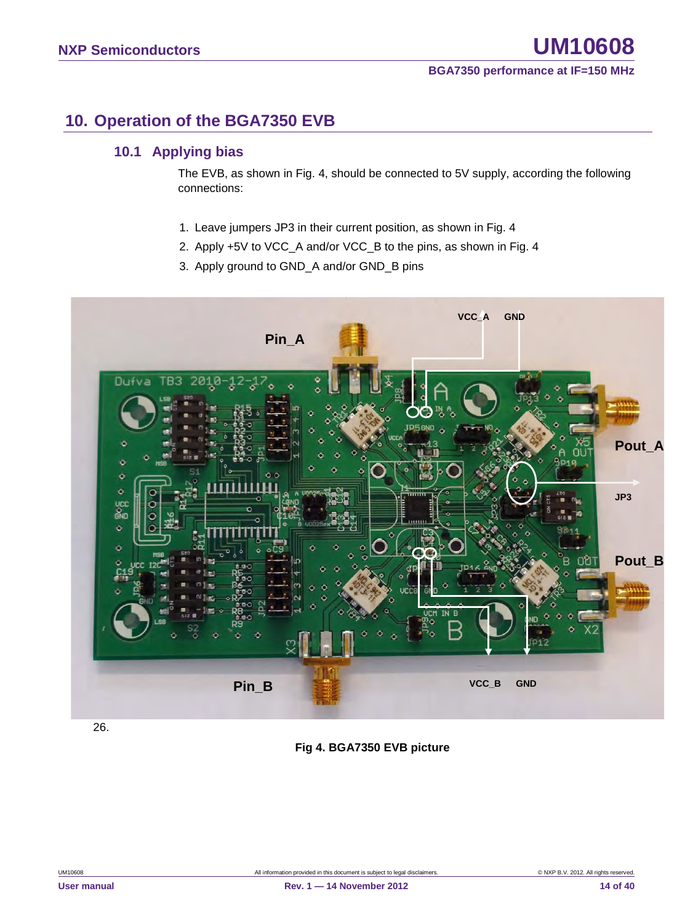### <span id="page-13-0"></span>**10. Operation of the BGA7350 EVB**

### <span id="page-13-1"></span>**10.1 Applying bias**

The EVB, as shown in Fig. 4, should be connected to 5V supply, according the following connections:

- 1. Leave jumpers JP3 in their current position, as shown in Fig. 4
- 2. Apply +5V to VCC\_A and/or VCC\_B to the pins, as shown in Fig. 4
- 3. Apply ground to GND\_A and/or GND\_B pins



26.

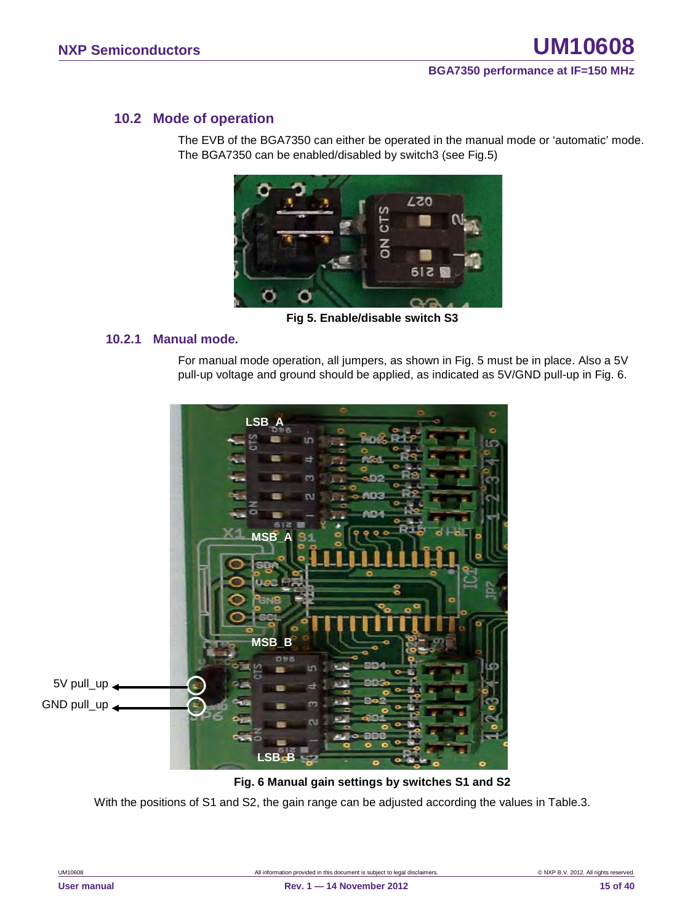#### <span id="page-14-0"></span>**10.2 Mode of operation**

The EVB of the BGA7350 can either be operated in the manual mode or 'automatic' mode. The BGA7350 can be enabled/disabled by switch3 (see Fig.5)



**Fig 5. Enable/disable switch S3**

#### <span id="page-14-1"></span>**10.2.1 Manual mode.**

For manual mode operation, all jumpers, as shown in Fig. 5 must be in place. Also a 5V pull-up voltage and ground should be applied, as indicated as 5V/GND pull-up in Fig. 6.



#### **Fig. 6 Manual gain settings by switches S1 and S2**

With the positions of S1 and S2, the gain range can be adjusted according the values in Table.3.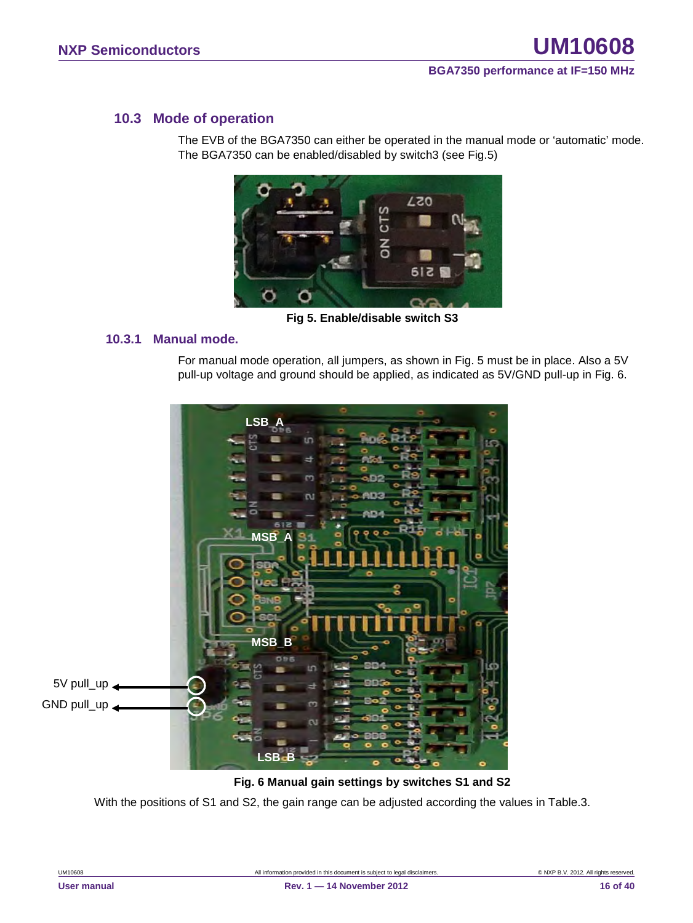#### <span id="page-15-0"></span>**10.3 Mode of operation**

The EVB of the BGA7350 can either be operated in the manual mode or 'automatic' mode. The BGA7350 can be enabled/disabled by switch3 (see Fig.5)



**Fig 5. Enable/disable switch S3**

#### <span id="page-15-1"></span>**10.3.1 Manual mode.**

For manual mode operation, all jumpers, as shown in Fig. 5 must be in place. Also a 5V pull-up voltage and ground should be applied, as indicated as 5V/GND pull-up in Fig. 6.



#### **Fig. 6 Manual gain settings by switches S1 and S2**

With the positions of S1 and S2, the gain range can be adjusted according the values in Table.3.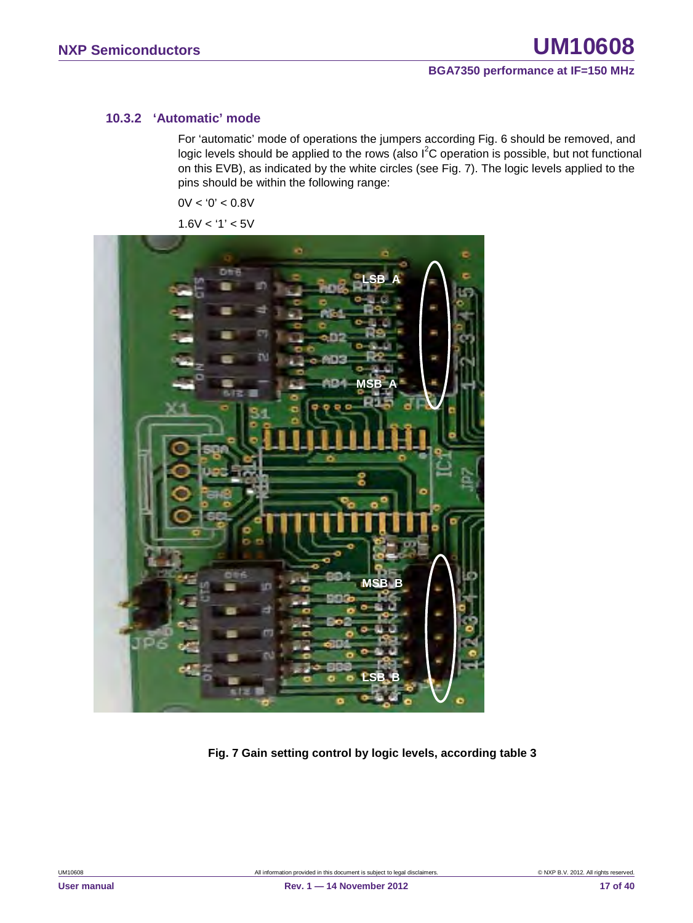#### <span id="page-16-0"></span>**10.3.2 'Automatic' mode**

For 'automatic' mode of operations the jumpers according Fig. 6 should be removed, and logic levels should be applied to the rows (also  $I^2C$  operation is possible, but not functional on this EVB), as indicated by the white circles (see Fig. 7). The logic levels applied to the pins should be within the following range:

 $0V < 0' < 0.8V$ 

 $1.6V < 1' < 5V$ 



**Fig. 7 Gain setting control by logic levels, according table 3**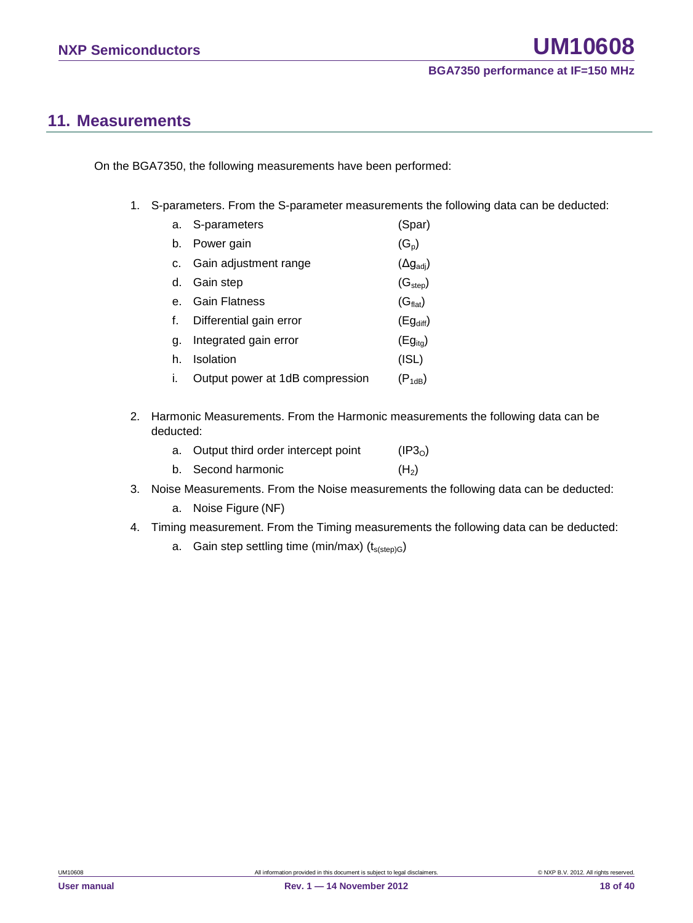### <span id="page-17-0"></span>**11. Measurements**

On the BGA7350, the following measurements have been performed:

1. S-parameters. From the S-parameter measurements the following data can be deducted:

|    | a. S-parameters                 | (Spar)                    |
|----|---------------------------------|---------------------------|
| b. | Power gain                      | $(G_p)$                   |
| C. | Gain adjustment range           | $(\Delta g_{\text{adj}})$ |
| d. | Gain step                       | (G <sub>step</sub> )      |
|    | <b>Gain Flatness</b>            | (G <sub>flat</sub> )      |
|    | Differential gain error         | $(Eg_{diff})$             |
| α. | Integrated gain error           | $(Eg_{ita})$              |
| h. | Isolation                       | (ISL)                     |
|    | Output power at 1dB compression | $(P_{1dB})$               |

2. Harmonic Measurements. From the Harmonic measurements the following data can be deducted:

| a. Output third order intercept point | (IP3 <sub>0</sub> ) |
|---------------------------------------|---------------------|
| b. Second harmonic                    | (H <sub>2</sub> )   |

- 3. Noise Measurements. From the Noise measurements the following data can be deducted:
	- a. Noise Figure (NF)
- 4. Timing measurement. From the Timing measurements the following data can be deducted:
	- a. Gain step settling time (min/max)  $(t_{s(sep)G})$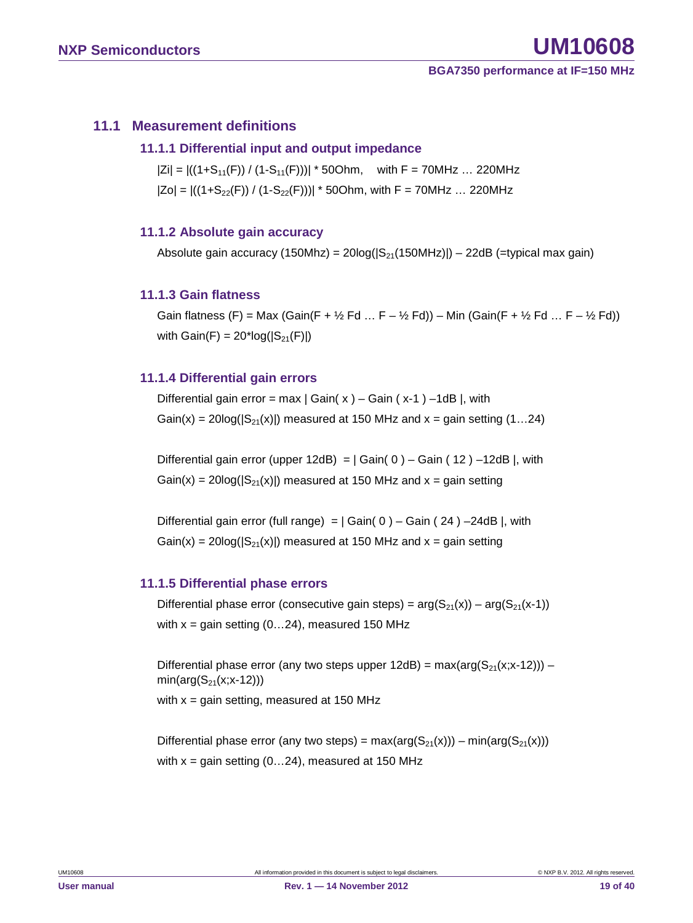#### <span id="page-18-1"></span><span id="page-18-0"></span>**11.1 Measurement definitions**

#### **11.1.1 Differential input and output impedance**

 $|Zi| = |((1+S_{11}(F)) / (1-S_{11}(F)))| * 50Ohm$ , with F = 70MHz ... 220MHz  $|Zo| = |((1+S_{22}(F)) / (1-S_{22}(F)))| * 50Ohm$ , with F = 70MHz ... 220MHz

#### <span id="page-18-2"></span>**11.1.2 Absolute gain accuracy**

Absolute gain accuracy (150Mhz) =  $20\log(|S_{21}(150MHz)|) - 22dB$  (=typical max gain)

#### <span id="page-18-3"></span>**11.1.3 Gain flatness**

Gain flatness (F) = Max (Gain(F +  $\frac{1}{2}$  Fd ... F –  $\frac{1}{2}$  Fd)) – Min (Gain(F +  $\frac{1}{2}$  Fd ... F –  $\frac{1}{2}$  Fd)) with  $Gain(F) = 20*log(|S_{21}(F)|)$ 

#### <span id="page-18-4"></span>**11.1.4 Differential gain errors**

Differential gain error = max  $|$  Gain( x  $)$  – Gain (x-1) –1dB |, with Gain(x) =  $20\log(|S_{21}(x)|)$  measured at 150 MHz and x = gain setting (1...24)

Differential gain error (upper 12dB) =  $|$  Gain( 0 ) – Gain ( 12 ) –12dB |, with  $Gain(x) = 20log(|S_{21}(x)|)$  measured at 150 MHz and  $x = gain$  setting

Differential gain error (full range) =  $|$  Gain( 0 ) – Gain ( 24 ) –24dB |, with  $Gain(x) = 20log(|S_{21}(x)|)$  measured at 150 MHz and  $x = gain$  setting

#### <span id="page-18-5"></span>**11.1.5 Differential phase errors**

Differential phase error (consecutive gain steps) =  $arg(S_{21}(x)) - arg(S_{21}(x-1))$ with  $x =$  gain setting (0...24), measured 150 MHz

Differential phase error (any two steps upper  $12dB$ ) = max(arg( $S_{21}(x;x-12)$ )) –  $min(arg(S_{21}(x; x-12)))$ with  $x =$  gain setting, measured at 150 MHz

Differential phase error (any two steps) =  $max(arg(S_{21}(x))) - min(arg(S_{21}(x)))$ with  $x =$  gain setting (0...24), measured at 150 MHz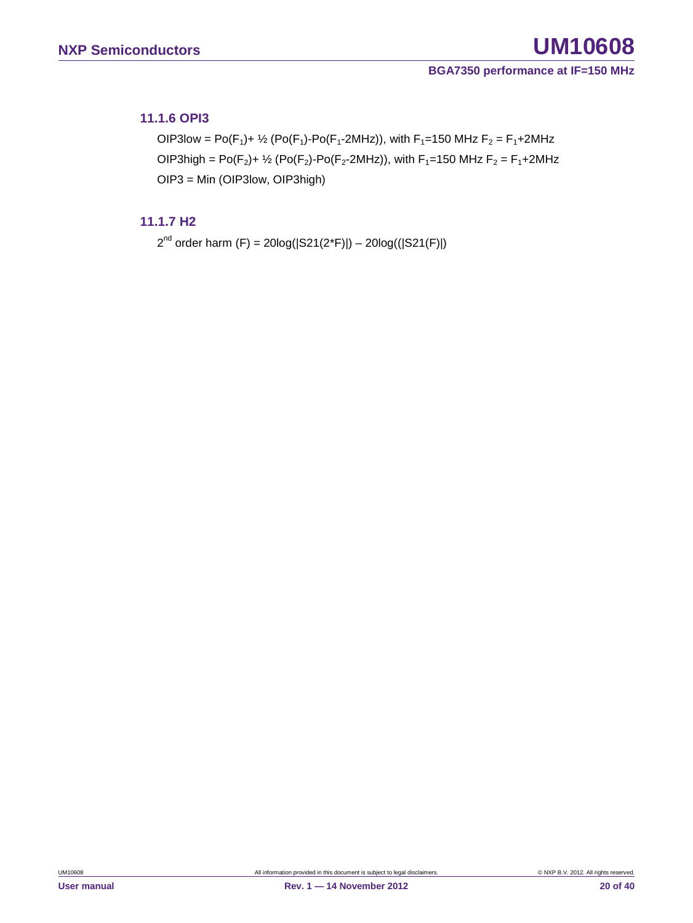#### <span id="page-19-0"></span>**11.1.6 OPI3**

OIP3low = Po(F<sub>1</sub>)+ <sup>1</sup>/<sub>2</sub> (Po(F<sub>1</sub>)-Po(F<sub>1</sub>-2MHz)), with F<sub>1</sub>=150 MHz F<sub>2</sub> = F<sub>1</sub>+2MHz OIP3high = Po( $F_2$ )+  $\frac{1}{2}$  (Po( $F_2$ )-Po( $F_2$ -2MHz)), with  $F_1$ =150 MHz  $F_2 = F_1 + 2M$ Hz OIP3 = Min (OIP3low, OIP3high)

#### <span id="page-19-1"></span>**11.1.7 H2**

 $2^{nd}$  order harm (F) = 20log( $|S21(2<sup>*</sup>F)|$ ) – 20log( $(|S21(F)|)$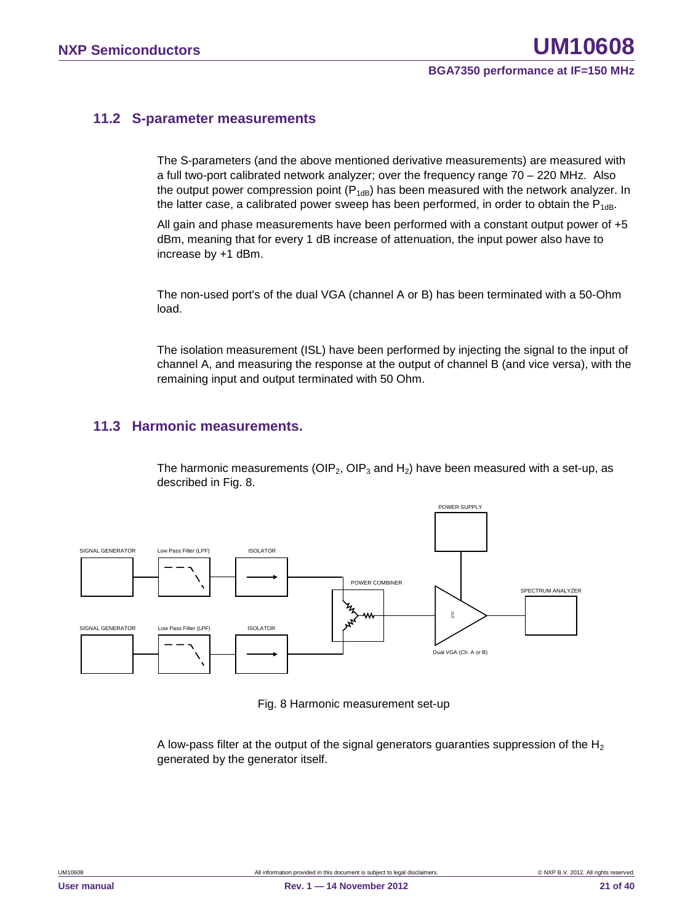#### <span id="page-20-0"></span>**11.2 S-parameter measurements**

The S-parameters (and the above mentioned derivative measurements) are measured with a full two-port calibrated network analyzer; over the frequency range 70 – 220 MHz. Also the output power compression point  $(P_{1dB})$  has been measured with the network analyzer. In the latter case, a calibrated power sweep has been performed, in order to obtain the  $P_{1dB}$ .

All gain and phase measurements have been performed with a constant output power of +5 dBm, meaning that for every 1 dB increase of attenuation, the input power also have to increase by +1 dBm.

The non-used port's of the dual VGA (channel A or B) has been terminated with a 50-Ohm load.

The isolation measurement (ISL) have been performed by injecting the signal to the input of channel A, and measuring the response at the output of channel B (and vice versa), with the remaining input and output terminated with 50 Ohm.

#### <span id="page-20-1"></span>**11.3 Harmonic measurements.**

The harmonic measurements (OIP<sub>2</sub>, OIP<sub>3</sub> and H<sub>2</sub>) have been measured with a set-up, as described in Fig. 8.



Fig. 8 Harmonic measurement set-up

A low-pass filter at the output of the signal generators guaranties suppression of the  $H_2$ generated by the generator itself.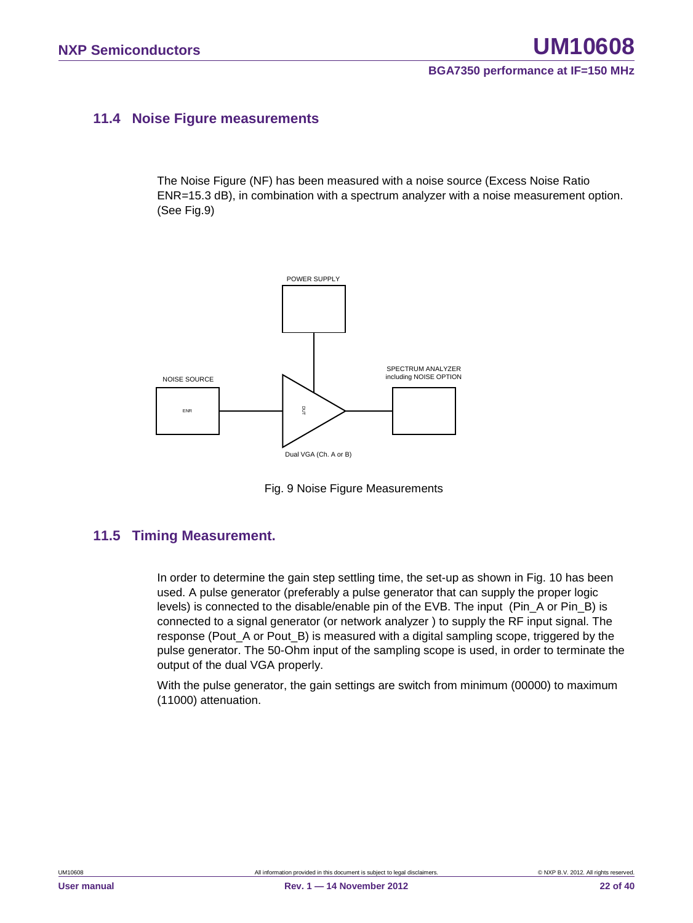#### <span id="page-21-0"></span>**11.4 Noise Figure measurements**

The Noise Figure (NF) has been measured with a noise source (Excess Noise Ratio ENR=15.3 dB), in combination with a spectrum analyzer with a noise measurement option. (See Fig.9)



Fig. 9 Noise Figure Measurements

#### <span id="page-21-1"></span>**11.5 Timing Measurement.**

In order to determine the gain step settling time, the set-up as shown in Fig. 10 has been used. A pulse generator (preferably a pulse generator that can supply the proper logic levels) is connected to the disable/enable pin of the EVB. The input (Pin\_A or Pin\_B) is connected to a signal generator (or network analyzer ) to supply the RF input signal. The response (Pout A or Pout B) is measured with a digital sampling scope, triggered by the pulse generator. The 50-Ohm input of the sampling scope is used, in order to terminate the output of the dual VGA properly.

With the pulse generator, the gain settings are switch from minimum (00000) to maximum (11000) attenuation.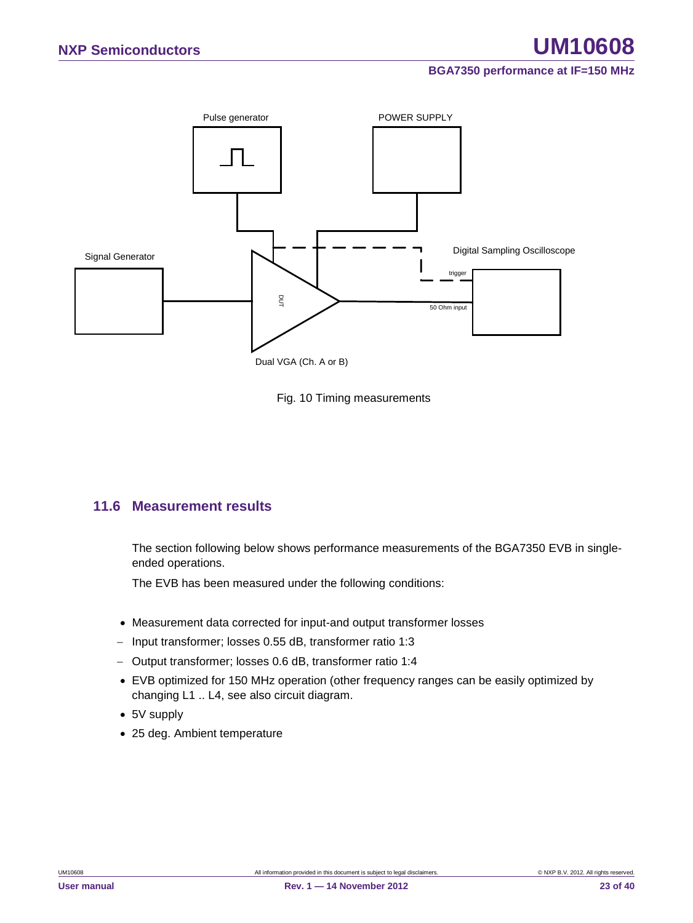



#### <span id="page-22-0"></span>**11.6 Measurement results**

The section following below shows performance measurements of the BGA7350 EVB in singleended operations.

The EVB has been measured under the following conditions:

- Measurement data corrected for input-and output transformer losses
- − Input transformer; losses 0.55 dB, transformer ratio 1:3
- − Output transformer; losses 0.6 dB, transformer ratio 1:4
- EVB optimized for 150 MHz operation (other frequency ranges can be easily optimized by changing L1 .. L4, see also circuit diagram.
- 5V supply
-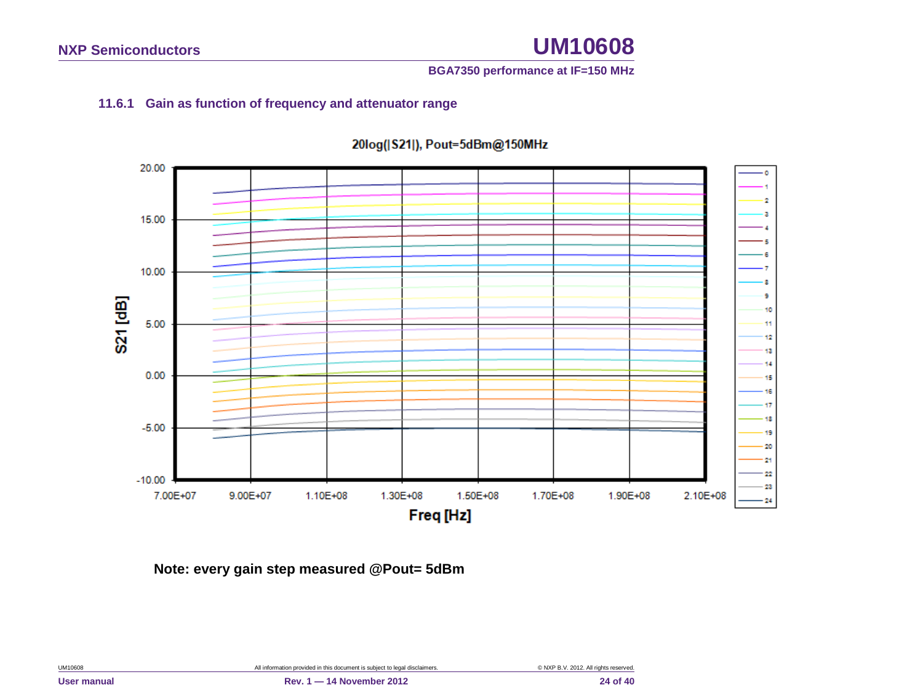#### **BGA7350 performance at IF=150 MHz**

#### **11.6.1 Gain as function of frequency and attenuator range**

<span id="page-23-0"></span>

#### 20log(|S21|), Pout=5dBm@150MHz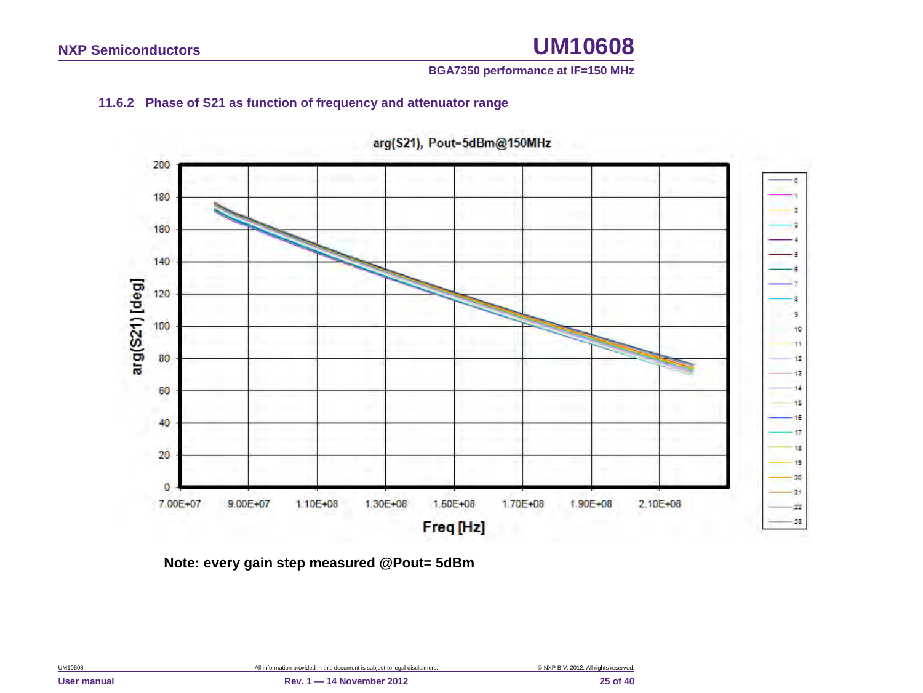#### **BGA7350 performance at IF=150 MHz**

#### **11.6.2 Phase of S21 as function of frequency and attenuator range**

<span id="page-24-0"></span>

arg(S21), Pout=5dBm@150MHz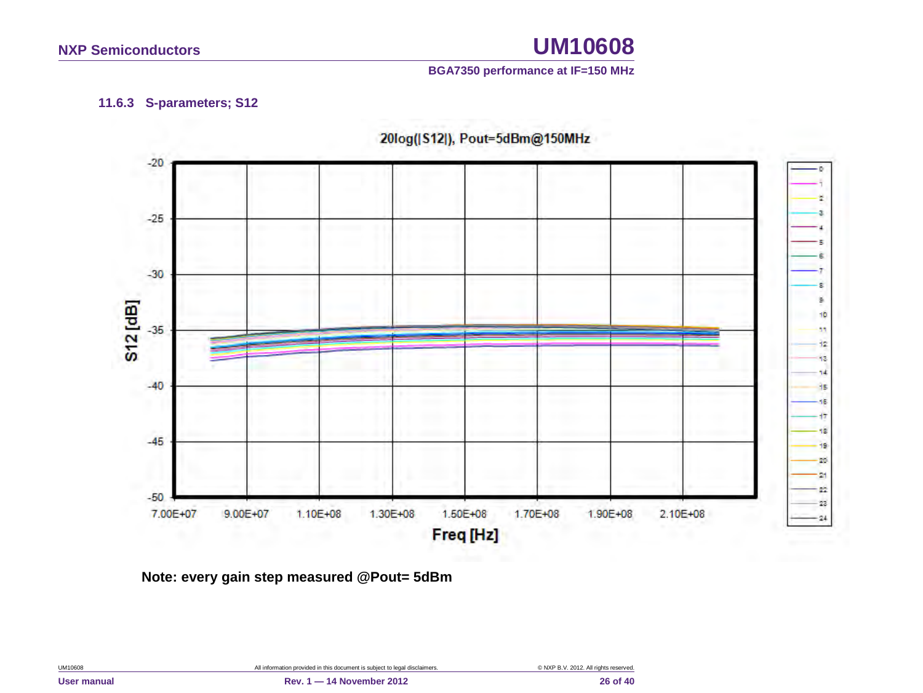#### **BGA7350 performance at IF=150 MHz**

#### **11.6.3 S-parameters; S12**

<span id="page-25-0"></span>

20log([S12]), Pout=5dBm@150MHz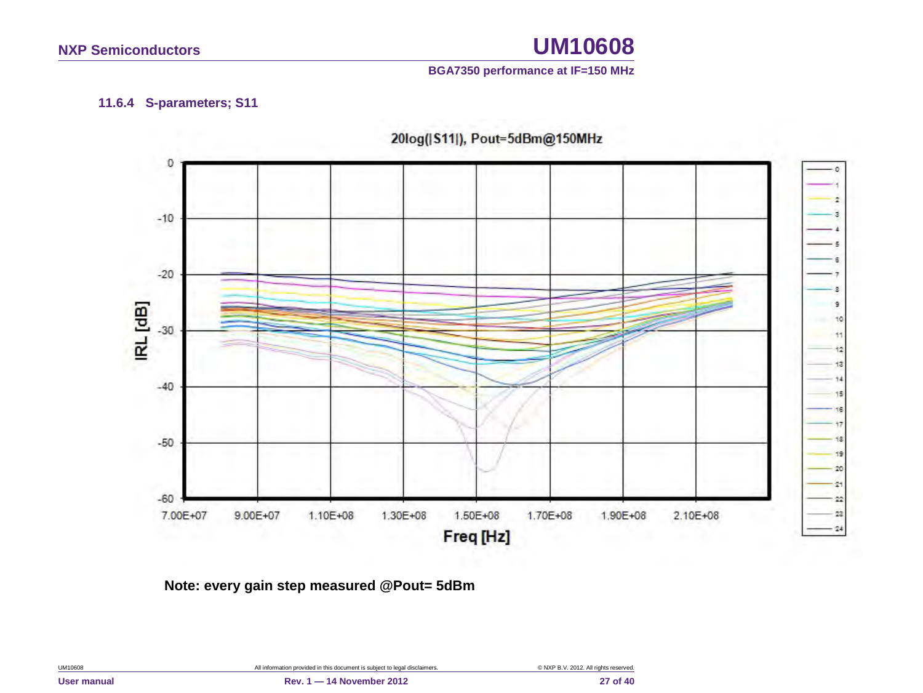#### **BGA7350 performance at IF=150 MHz**

#### **11.6.4 S-parameters; S11**

<span id="page-26-0"></span>

20log(|S11|), Pout=5dBm@150MHz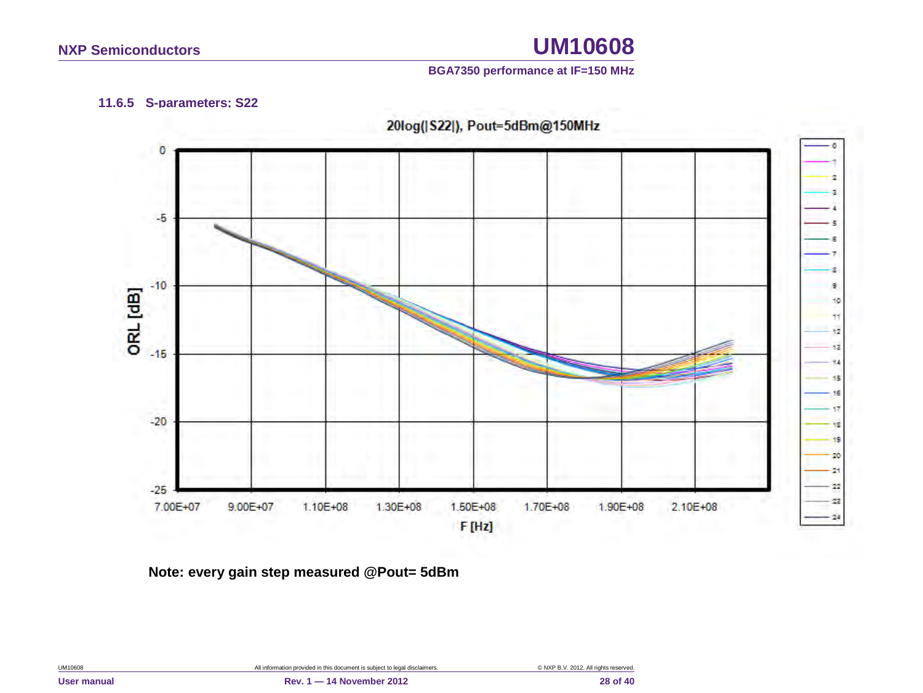#### **BGA7350 performance at IF=150 MHz**

#### **11.6.5 S-parameters; S22**

<span id="page-27-0"></span>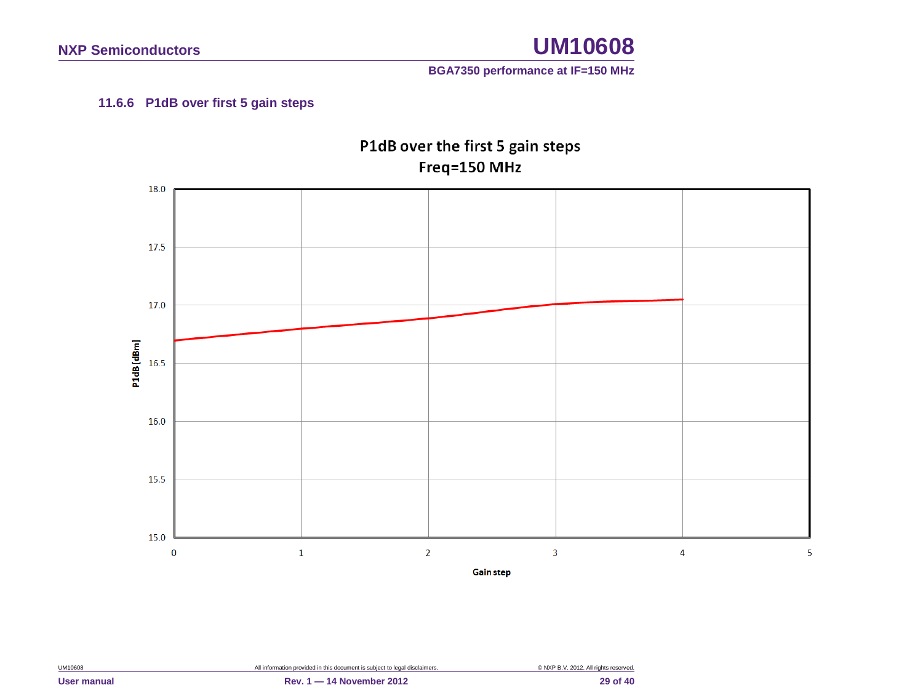#### **BGA7350 performance at IF=150 MHz**

#### **11.6.6 P1dB over first 5 gain steps**

<span id="page-28-0"></span>

P1dB over the first 5 gain steps Freq=150 MHz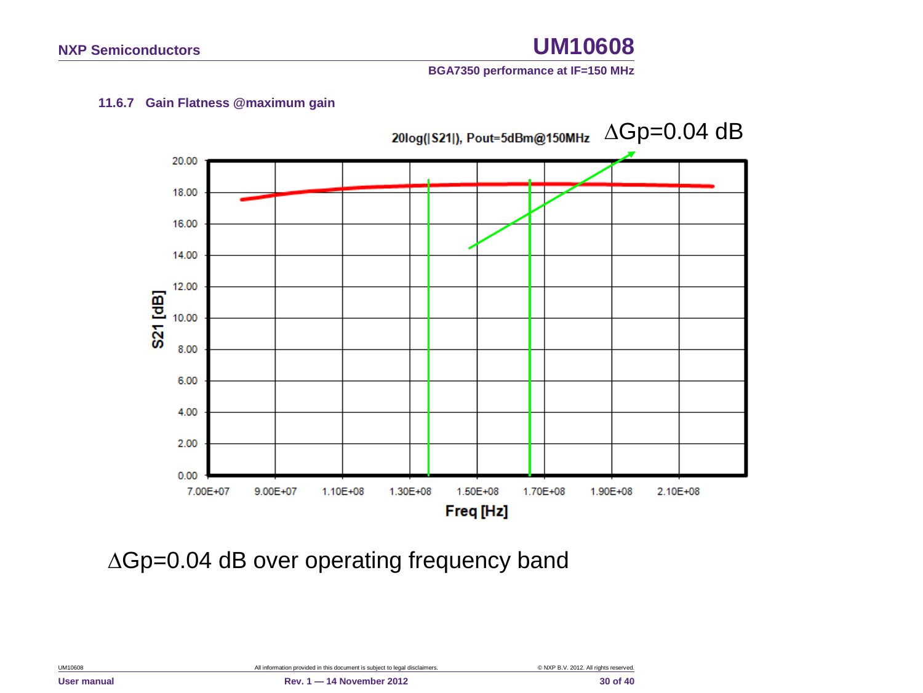#### **BGA7350 performance at IF=150 MHz**

#### **11.6.7 Gain Flatness @maximum gain**

<span id="page-29-0"></span>

∆Gp=0.04 dB over operating frequency band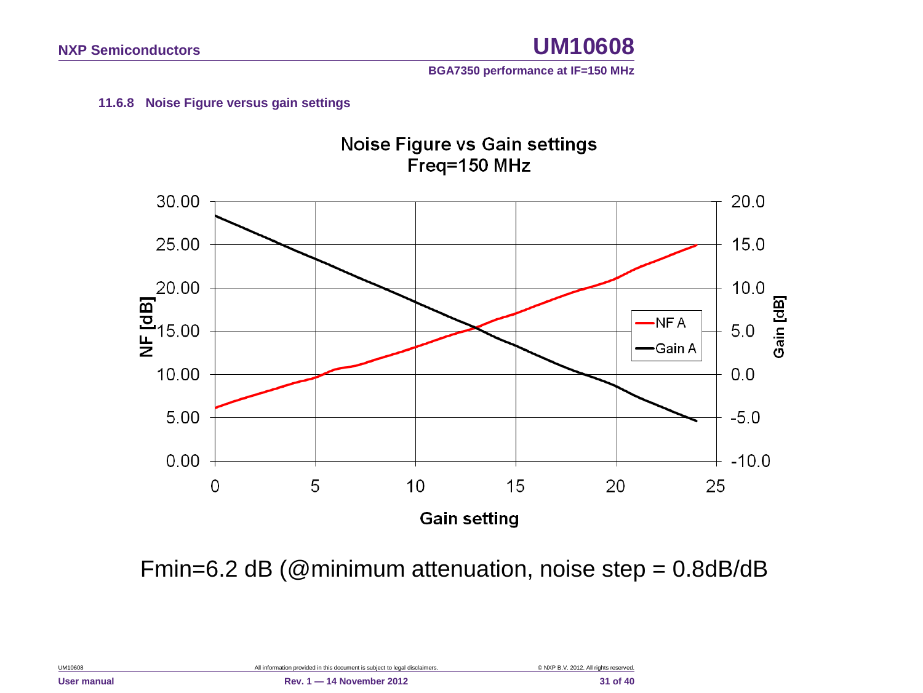**BGA7350 performance at IF=150 MHz**

#### **11.6.8 Noise Figure versus gain settings**

<span id="page-30-0"></span>

Fmin=6.2 dB (@minimum attenuation, noise step = 0.8dB/dB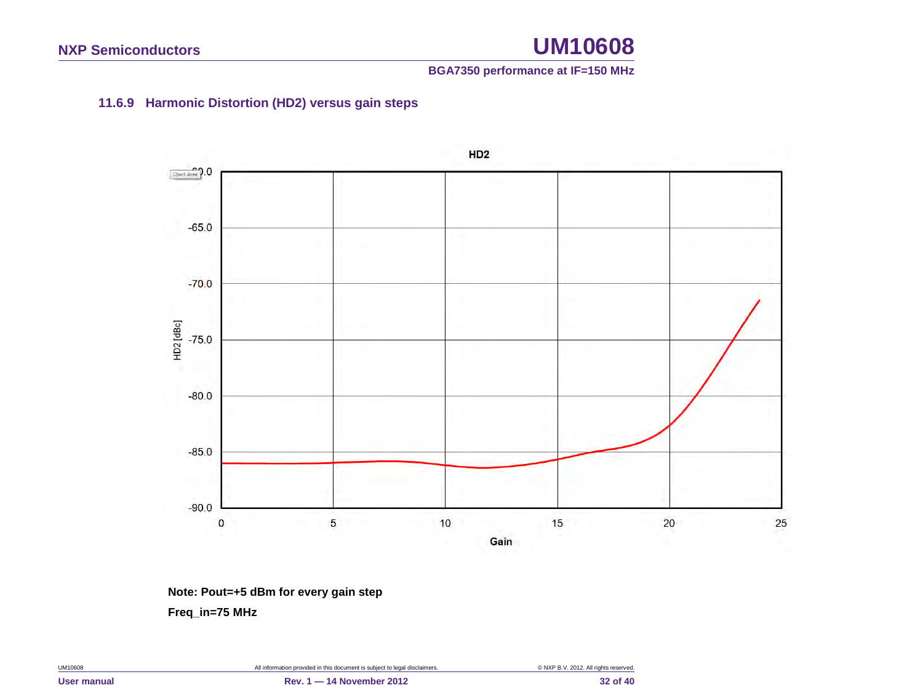#### **BGA7350 performance at IF=150 MHz**

#### **11.6.9 Harmonic Distortion (HD2) versus gain steps**

<span id="page-31-0"></span>

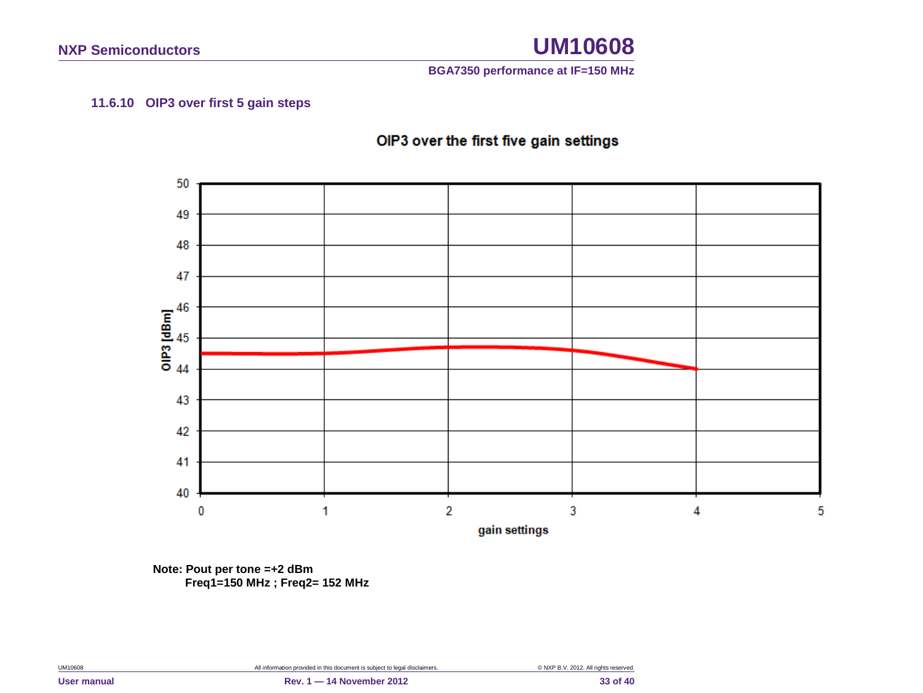**BGA7350 performance at IF=150 MHz**

#### **11.6.10 OIP3 over first 5 gain steps**



<span id="page-32-0"></span>

**Note: Pout per tone =+2 dBm Freq1=150 MHz ; Freq2= 152 MHz**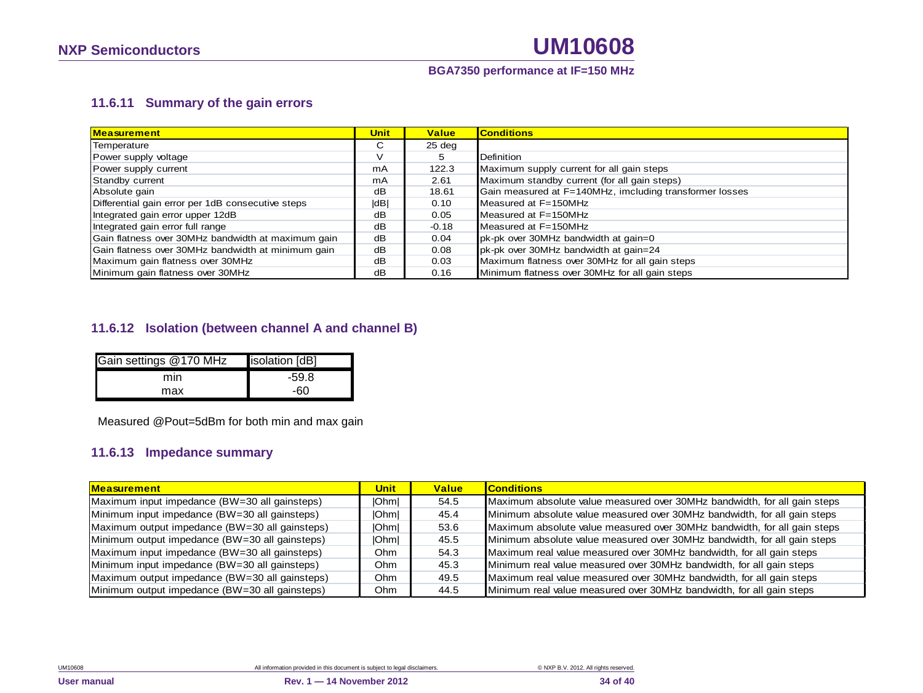#### **BGA7350 performance at IF=150 MHz**

#### **11.6.11 Summary of the gain errors**

| <b>Measurement</b>                                 | Unit | <b>Value</b> | <b>Conditions</b>                                       |
|----------------------------------------------------|------|--------------|---------------------------------------------------------|
| Temperature                                        | C    | 25 deg       |                                                         |
| Power supply voltage                               | ν    | 5            | Definition                                              |
| Power supply current                               | mA   | 122.3        | Maximum supply current for all gain steps               |
| Standby current                                    | mA   | 2.61         | Maximum standby current (for all gain steps)            |
| Absolute gain                                      | dB   | 18.61        | Gain measured at F=140MHz, imcluding transformer losses |
| Differential gain error per 1dB consecutive steps  | dB   | 0.10         | Measured at F=150MHz                                    |
| Integrated gain error upper 12dB                   | dB   | 0.05         | Measured at $F = 150MHz$                                |
| Integrated gain error full range                   | dB   | $-0.18$      | Measured at F=150MHz                                    |
| Gain flatness over 30MHz bandwidth at maximum gain | dВ   | 0.04         | pk-pk over 30MHz bandwidth at gain=0                    |
| Gain flatness over 30MHz bandwidth at minimum gain | dB   | 0.08         | pk-pk over 30MHz bandwidth at gain=24                   |
| Maximum gain flatness over 30MHz                   | dB   | 0.03         | Maximum flatness over 30MHz for all gain steps          |
| Minimum gain flatness over 30MHz                   | dВ   | 0.16         | Minimum flatness over 30MHz for all gain steps          |

#### <span id="page-33-0"></span>**11.6.12 Isolation (between channel A and channel B)**

| Gain settings @170 MHz | isolation [dB] |
|------------------------|----------------|
| mın                    | $-59.8$        |
| max                    | -60            |

Measured @Pout=5dBm for both min and max gain

#### **11.6.13 Impedance summary**

<span id="page-33-1"></span>

| <b>Measurement</b>                             | Unit         | <b>Value</b> | <b>Conditions</b>                                                        |
|------------------------------------------------|--------------|--------------|--------------------------------------------------------------------------|
| Maximum input impedance (BW=30 all gainsteps)  | <b>IOhml</b> | 54.5         | Maximum absolute value measured over 30MHz bandwidth, for all gain steps |
| Minimum input impedance (BW=30 all gainsteps)  | <b>IOhml</b> | 45.4         | Minimum absolute value measured over 30MHz bandwidth, for all gain steps |
| Maximum output impedance (BW=30 all gainsteps) | <b>IOhml</b> | 53.6         | Maximum absolute value measured over 30MHz bandwidth, for all gain steps |
| Minimum output impedance (BW=30 all gainsteps) | <b>IOhml</b> | 45.5         | Minimum absolute value measured over 30MHz bandwidth, for all gain steps |
| Maximum input impedance (BW=30 all gainsteps)  | Ohm          | 54.3         | Maximum real value measured over 30MHz bandwidth, for all gain steps     |
| Minimum input impedance (BW=30 all gainsteps)  | Ohm          | 45.3         | Minimum real value measured over 30MHz bandwidth, for all gain steps     |
| Maximum output impedance (BW=30 all gainsteps) | Ohm          | 49.5         | Maximum real value measured over 30MHz bandwidth, for all gain steps     |
| Minimum output impedance (BW=30 all gainsteps) | Ohm          | 44.5         | Minimum real value measured over 30MHz bandwidth, for all gain steps     |

<span id="page-33-2"></span>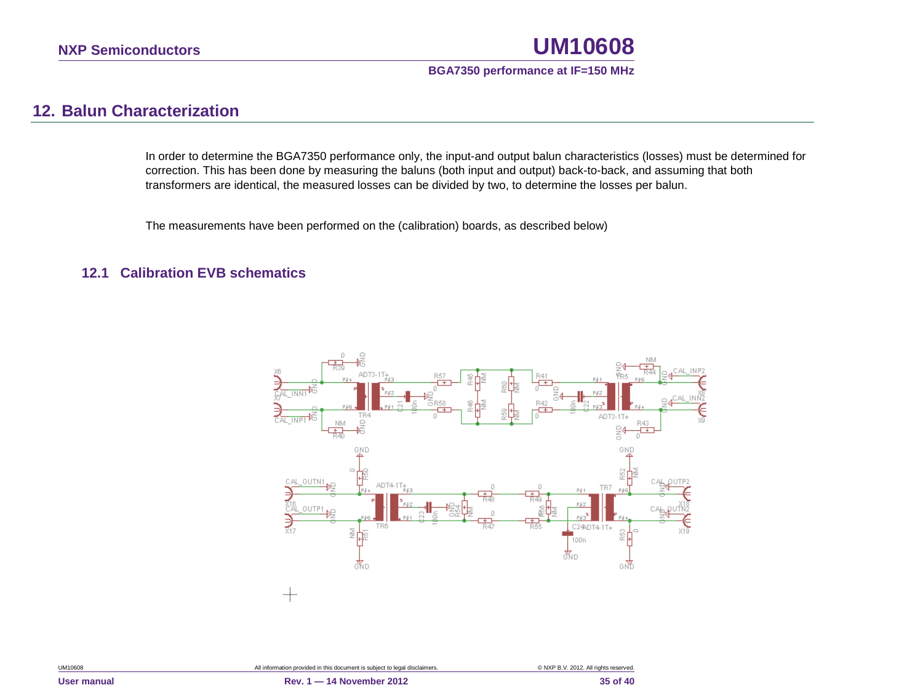#### **BGA7350 performance at IF=150 MHz**

### **12. Balun Characterization**

In order to determine the BGA7350 performance only, the input-and output balun characteristics (losses) must be determined for correction. This has been done by measuring the baluns (both input and output) back-to-back, and assuming that both transformers are identical, the measured losses can be divided by two, to determine the losses per balun.

The measurements have been performed on the (calibration) boards, as described below)

#### <span id="page-34-1"></span><span id="page-34-0"></span>**12.1 Calibration EVB schematics**

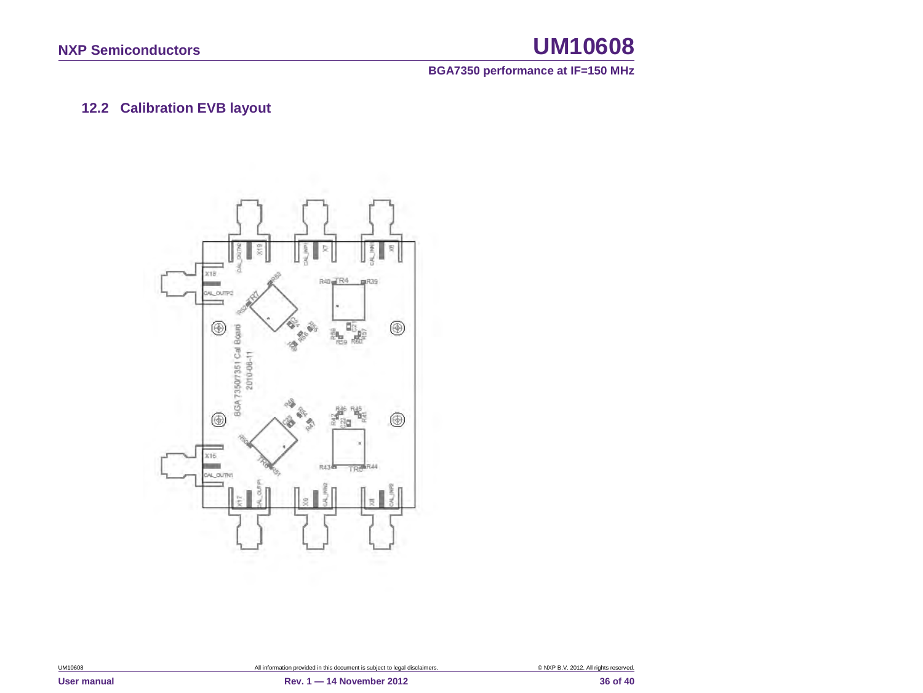**BGA7350 performance at IF=150 MHz**

### **12.2 Calibration EVB layout**

<span id="page-35-0"></span>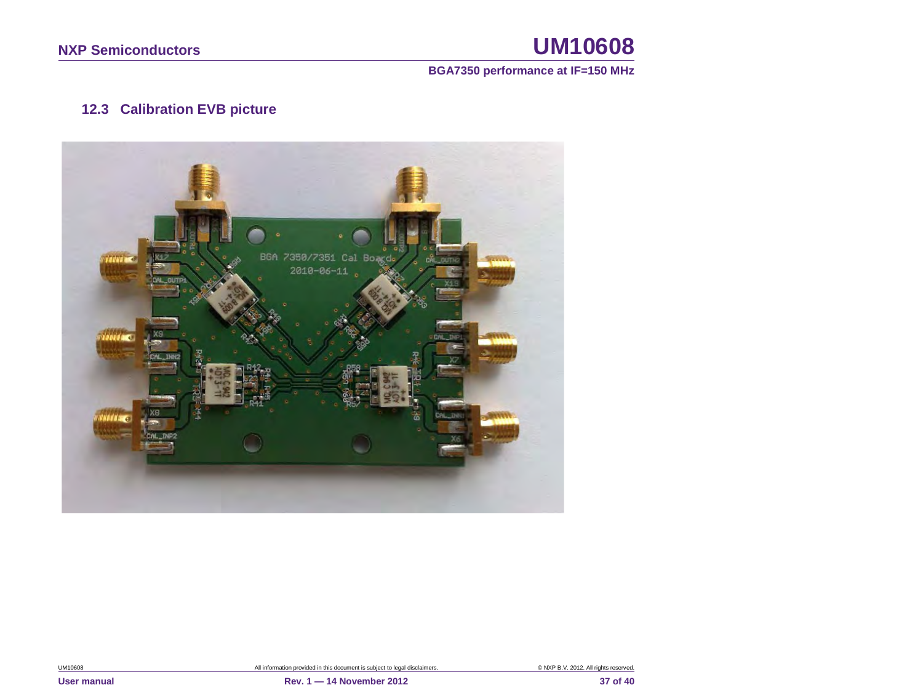#### **BGA7350 performance at IF=150 MHz**

### **12.3 Calibration EVB picture**

<span id="page-36-0"></span>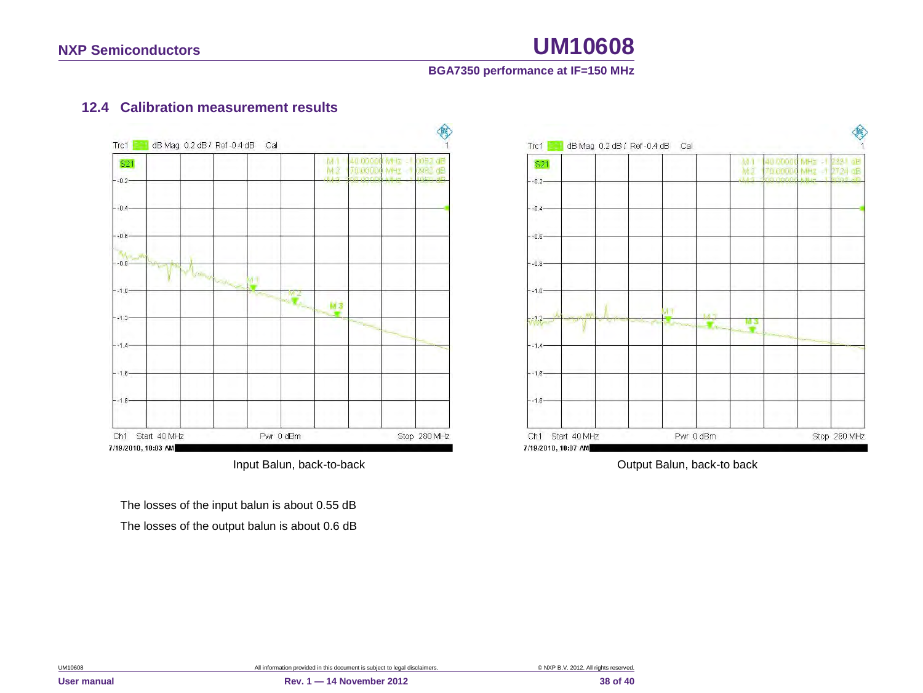#### **BGA7350 performance at IF=150 MHz**

#### **12.4 Calibration measurement results**



<span id="page-37-0"></span>The losses of the input balun is about 0.55 dB The losses of the output balun is about 0.6 dB



Input Balun, back-to-back **Input Balun**, back-to back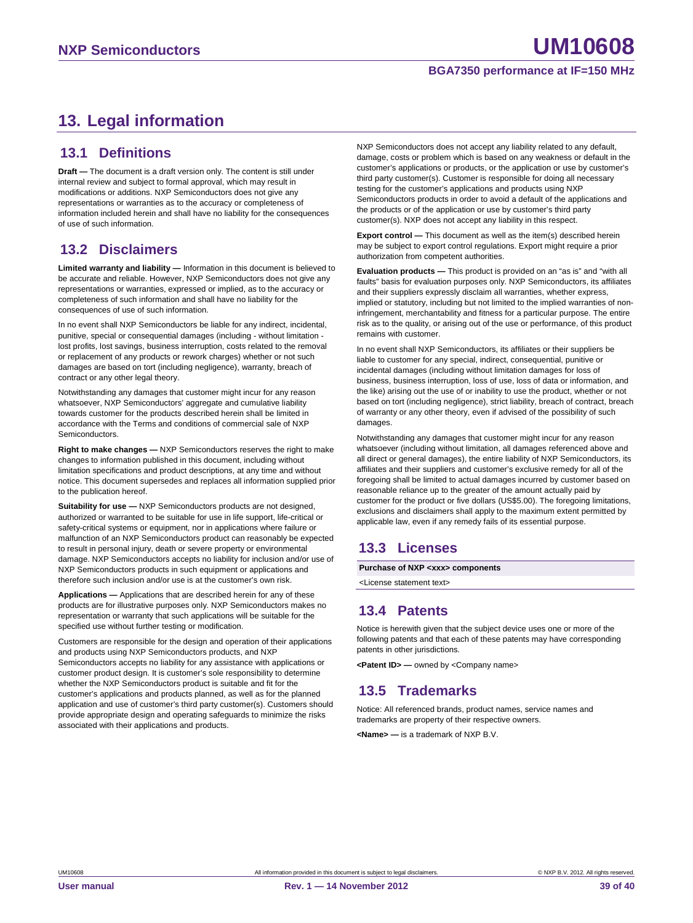### <span id="page-38-0"></span>**13. Legal information**

#### <span id="page-38-1"></span>**13.1 Definitions**

**Draft —** The document is a draft version only. The content is still under internal review and subject to formal approval, which may result in modifications or additions. NXP Semiconductors does not give any representations or warranties as to the accuracy or completeness of information included herein and shall have no liability for the consequences of use of such information.

#### <span id="page-38-2"></span>**13.2 Disclaimers**

**Limited warranty and liability —** Information in this document is believed to be accurate and reliable. However, NXP Semiconductors does not give any representations or warranties, expressed or implied, as to the accuracy or completeness of such information and shall have no liability for the consequences of use of such information.

In no event shall NXP Semiconductors be liable for any indirect, incidental, punitive, special or consequential damages (including - without limitation lost profits, lost savings, business interruption, costs related to the removal or replacement of any products or rework charges) whether or not such damages are based on tort (including negligence), warranty, breach of contract or any other legal theory.

Notwithstanding any damages that customer might incur for any reason whatsoever, NXP Semiconductors' aggregate and cumulative liability towards customer for the products described herein shall be limited in accordance with the Terms and conditions of commercial sale of NXP Semiconductors.

**Right to make changes —** NXP Semiconductors reserves the right to make changes to information published in this document, including without limitation specifications and product descriptions, at any time and without notice. This document supersedes and replaces all information supplied prior to the publication hereof.

**Suitability for use —** NXP Semiconductors products are not designed, authorized or warranted to be suitable for use in life support, life-critical or safety-critical systems or equipment, nor in applications where failure or malfunction of an NXP Semiconductors product can reasonably be expected to result in personal injury, death or severe property or environmental damage. NXP Semiconductors accepts no liability for inclusion and/or use of NXP Semiconductors products in such equipment or applications and therefore such inclusion and/or use is at the customer's own risk.

**Applications —** Applications that are described herein for any of these products are for illustrative purposes only. NXP Semiconductors makes no representation or warranty that such applications will be suitable for the specified use without further testing or modification.

Customers are responsible for the design and operation of their applications and products using NXP Semiconductors products, and NXP Semiconductors accepts no liability for any assistance with applications or customer product design. It is customer's sole responsibility to determine whether the NXP Semiconductors product is suitable and fit for the customer's applications and products planned, as well as for the planned application and use of customer's third party customer(s). Customers should provide appropriate design and operating safeguards to minimize the risks associated with their applications and products.

NXP Semiconductors does not accept any liability related to any default, damage, costs or problem which is based on any weakness or default in the customer's applications or products, or the application or use by customer's third party customer(s). Customer is responsible for doing all necessary testing for the customer's applications and products using NXP Semiconductors products in order to avoid a default of the applications and the products or of the application or use by customer's third party customer(s). NXP does not accept any liability in this respect.

**Export control —** This document as well as the item(s) described herein may be subject to export control regulations. Export might require a prior authorization from competent authorities.

**Evaluation products —** This product is provided on an "as is" and "with all faults" basis for evaluation purposes only. NXP Semiconductors, its affiliates and their suppliers expressly disclaim all warranties, whether express, implied or statutory, including but not limited to the implied warranties of noninfringement, merchantability and fitness for a particular purpose. The entire risk as to the quality, or arising out of the use or performance, of this product remains with customer.

In no event shall NXP Semiconductors, its affiliates or their suppliers be liable to customer for any special, indirect, consequential, punitive or incidental damages (including without limitation damages for loss of business, business interruption, loss of use, loss of data or information, and the like) arising out the use of or inability to use the product, whether or not based on tort (including negligence), strict liability, breach of contract, breach of warranty or any other theory, even if advised of the possibility of such damages

Notwithstanding any damages that customer might incur for any reason whatsoever (including without limitation, all damages referenced above and all direct or general damages), the entire liability of NXP Semiconductors, its affiliates and their suppliers and customer's exclusive remedy for all of the foregoing shall be limited to actual damages incurred by customer based on reasonable reliance up to the greater of the amount actually paid by customer for the product or five dollars (US\$5.00). The foregoing limitations, exclusions and disclaimers shall apply to the maximum extent permitted by applicable law, even if any remedy fails of its essential purpose.

#### <span id="page-38-3"></span>**13.3 Licenses**

**Purchase of NXP <xxx> components**

<span id="page-38-4"></span><License statement text>

#### **13.4 Patents**

Notice is herewith given that the subject device uses one or more of the following patents and that each of these patents may have corresponding patents in other jurisdictions.

<span id="page-38-5"></span>**<Patent ID> —** owned by <Company name>

#### **13.5 Trademarks**

Notice: All referenced brands, product names, service names and trademarks are property of their respective owners.

**<Name> —** is a trademark of NXP B.V.